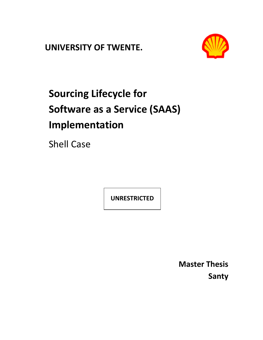**UNIVERSITY OF TWENTE.**



# **Sourcing Lifecycle for Software as a Service (SAAS) Implementation**

Shell Case

**UNRESTRICTED**

**Master Thesis Santy**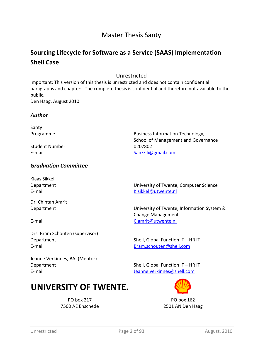### Master Thesis Santy

### **Sourcing Lifecycle for Software as a Service (SAAS) Implementation Shell Case**

Unrestricted

Important: This version of this thesis is unrestricted and does not contain confidential paragraphs and chapters. The complete thesis is confidential and therefore not available to the public.

Den Haag, August 2010

### *Author*

Santy

Student Number 0207802

### *Graduation Committee*

Klaas Sikkel

Dr. Chintan Amrit

Drs. Bram Schouten (supervisor) Department Shell, Global Function IT – HR IT E-mail [Bram.schouten@shell.com](file:///C:/Users/Santy.Li/AppData/Roaming/Microsoft/Word/Bram.schouten@shell.com)

Jeanne Verkinnes, BA. (Mentor) E-mail [Jeanne.verkinnes@shell.com](mailto:Jeanne.verkinnes@shell.com)

# **UNIVERSITY OF TWENTE.**

PO box 217 7500 AE Enschede

Programme **Business Information Technology**, School of Management and Governance E-mail [Sanzz.li@gmail.com](mailto:Sanzz.li@gmail.com)

Department University of Twente, Computer Science E-mail E-mail Contract Contract Contract Contract Contract Contract Contract Contract Contract Contract Contract Contract Contract Contract Contract Contract Contract Contract Contract Contract Contract Contract Contract C

Department University of Twente, Information System & Change Management E-mail [C.amrit@utwente.nl](file:///C:/Users/Santy.Li/Desktop/Write/C.amrit@utwente.nl)

Department Shell, Global Function IT – HR IT



PO box 162 2501 AN Den Haag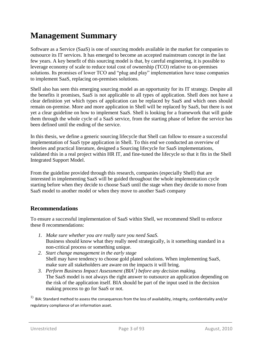# <span id="page-2-0"></span>**Management Summary**

Software as a Service (SaaS) is one of sourcing models available in the market for companies to outsource its IT services. It has emerged to become an accepted mainstream concept in the last few years. A key benefit of this sourcing model is that, by careful engineering, it is possible to leverage economy of scale to reduce total cost of ownership (TCO) relative to on-premises solutions. Its promises of lower TCO and "plug and play" implementation have tease companies to implement SaaS, replacing on-premises solutions.

Shell also has seen this emerging sourcing model as an opportunity for its IT strategy. Despite all the benefits it promises, SaaS is not applicable to all types of application. Shell does not have a clear definition yet which types of application can be replaced by SaaS and which ones should remain on-premise. More and more application in Shell will be replaced by SaaS, but there is not yet a clear guideline on how to implement SaaS. Shell is looking for a framework that will guide them through the whole cycle of a SaaS service, from the starting phase of before the service has been defined until the ending of the service.

In this thesis, we define a generic sourcing lifecycle that Shell can follow to ensure a successful implementation of SaaS type application in Shell. To this end we conducted an overview of theories and practical literature, designed a Sourcing lifecycle for SaaS implementations, validated this in a real project within HR IT, and fine-tuned the lifecycle so that it fits in the Shell Integrated Support Model.

From the guideline provided through this research, companies (especially Shell) that are interested in implementing SaaS will be guided throughout the whole implementation cycle starting before when they decide to choose SaaS until the stage when they decide to move from SaaS model to another model or when they move to another SaaS company

### **Recommendations**

To ensure a successful implementation of SaaS within Shell, we recommend Shell to enforce these 8 recommendations:

- *1. Make sure whether you are really sure you need SaaS.* Business should know what they really need strategically, is it something standard in a non-critical process or something unique.
- *2. Start change management in the early stage* Shell may have tendency to choose gold plated solutions. When implementing SaaS, make sure all stakeholders are aware on the impacts it will bring.
- *3. Perform Business Impact Assessment (BIA<sup>1</sup> ) before any decision making.* The SaaS model is not always the right answer to outsource an application depending on the risk of the application itself. BIA should be part of the input used in the decision making process to go for SaaS or not.

 $1)$  BIA: Standard method to assess the consequences from the loss of availability, integrity, confidentiality and/or regulatory compliance of an information asset.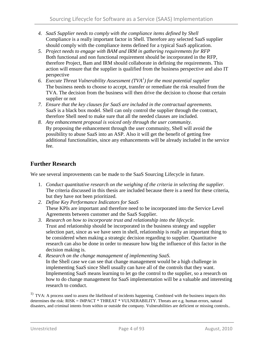- *4. SaaS Supplier needs to comply with the compliance items defined by Shell* Compliance is a really important factor in Shell. Therefore any selected SaaS supplier should comply with the compliance items defined for a typical SaaS application.
- *5. Project needs to engage with BAM and IRM in gathering requirements for RFP* Both functional and non functional requirement should be incorporated in the RFP, therefore Project, Bam and IRM should collaborate in defining the requirements. This action will ensure that the supplier is qualified from the business perspective and also IT perspective
- *6. Execute Threat Vulnerability Assessment (TVA<sup>1</sup> ) for the most potential supplier* The business needs to choose to accept, transfer or remediate the risk resulted from the TVA. The decision from the business will then drive the decision to choose that certain supplier or not
- *7. Ensure that the key clauses for SaaS are included in the contractual agreements.* SaaS is a black box model. Shell can only control the supplier through the contract, therefore Shell need to make sure that all the needed clauses are included.
- *8. Any enhancement proposal is voiced only through the user community.* By proposing the enhancement through the user community, Shell will avoid the possibility to abuse SaaS into an ASP. Also it will get the benefit of getting free additional functionalities, since any enhancements will be already included in the service fee.

### **Further Research**

We see several improvements can be made to the SaaS Sourcing Lifecycle in future.

- 1. *Conduct quantitative research on the weighing of the criteria in selecting the supplier.* The criteria discussed in this thesis are included because there is a need for these criteria, but they have not been prioritized.
- *2. Define Key Performance Indicators for SaaS* These KPIs are important and therefore need to be incorporated into the Service Level Agreements between customer and the SaaS Supplier.
- *3. Research on how to incorporate trust and relationship into the lifecycle.*  Trust and relationship should be incorporated in the business strategy and supplier selection part, since as we have seen in shell, relationship is really an important thing to be considered when making a strategic decision regarding to supplier. Quantitative research can also be done in order to measure how big the influence of this factor in the decision making is.
- *4. Research on the change management of implementing SaaS.*  In the Shell case we can see that change management would be a high challenge in implementing SaaS since Shell usually can have all of the controls that they want. Implementing SaaS means learning to let go the control to the supplier, so a research on how to do change management for SaaS implementation will be a valuable and interesting research to conduct.

 $1)$  TVA: A process used to assess the likelihood of incidents happening. Combined with the business impacts this determines the risk: RISK = IMPACT \* THREAT \* VULNERABILITY. Threats are e.g. human errors, natural disasters, and criminal intents from within or outside the company. Vulnerabilities are deficient or missing controls..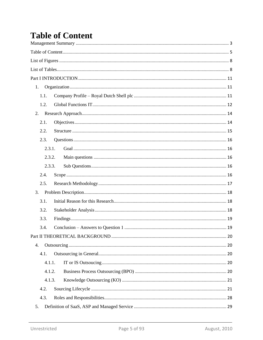# <span id="page-4-0"></span>**Table of Content**

| 1.     |  |
|--------|--|
| 1.1.   |  |
| 1.2.   |  |
| 2.     |  |
| 2.1.   |  |
| 2.2.   |  |
| 2.3.   |  |
| 2.3.1. |  |
| 2.3.2. |  |
| 2.3.3. |  |
| 2.4.   |  |
| 2.5.   |  |
| 3.     |  |
| 3.1.   |  |
| 3.2.   |  |
| 3.3.   |  |
| 3.4.   |  |
|        |  |
| 4.     |  |
| 4.1.   |  |
| 4.1.1. |  |
| 4.1.2. |  |
| 4.1.3. |  |
| 4.2.   |  |
| 4.3.   |  |
| 5.     |  |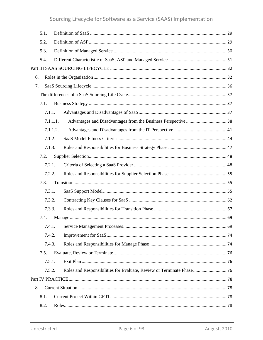|    | 5.1.     |                                                                        |  |
|----|----------|------------------------------------------------------------------------|--|
|    | 5.2.     |                                                                        |  |
|    | 5.3.     |                                                                        |  |
|    | 5.4.     |                                                                        |  |
|    |          |                                                                        |  |
| 6. |          |                                                                        |  |
| 7. |          |                                                                        |  |
|    |          |                                                                        |  |
|    | 7.1.     |                                                                        |  |
|    | 7.1.1.   |                                                                        |  |
|    | 7.1.1.1. |                                                                        |  |
|    | 7.1.1.2. |                                                                        |  |
|    | 7.1.2.   |                                                                        |  |
|    | 7.1.3.   |                                                                        |  |
|    | 7.2.     |                                                                        |  |
|    | 7.2.1.   |                                                                        |  |
|    | 7.2.2.   |                                                                        |  |
|    | 7.3.     |                                                                        |  |
|    | 7.3.1.   |                                                                        |  |
|    | 7.3.2.   |                                                                        |  |
|    | 7.3.3.   |                                                                        |  |
|    | 7.4.     |                                                                        |  |
|    | 7.4.1.   |                                                                        |  |
|    | 7.4.2.   |                                                                        |  |
|    | 7.4.3.   |                                                                        |  |
|    | 7.5.     |                                                                        |  |
|    | 7.5.1.   |                                                                        |  |
|    | 7.5.2.   | Roles and Responsibilities for Evaluate, Review or Terminate Phase  76 |  |
|    |          |                                                                        |  |
| 8. |          |                                                                        |  |
|    | 8.1.     |                                                                        |  |
|    | 8.2.     |                                                                        |  |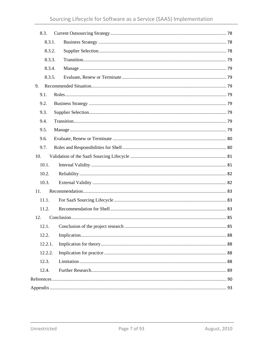| 8.3.    |  |
|---------|--|
| 8.3.1.  |  |
| 8.3.2.  |  |
| 8.3.3.  |  |
| 8.3.4.  |  |
| 8.3.5.  |  |
| 9.      |  |
| 9.1.    |  |
| 9.2.    |  |
| 9.3.    |  |
| 9.4.    |  |
| 9.5.    |  |
| 9.6.    |  |
| 9.7.    |  |
| 10.     |  |
| 10.1.   |  |
| 10.2.   |  |
| 10.3.   |  |
| 11.     |  |
| 11.1.   |  |
| 11.2.   |  |
| 12.     |  |
| 12.1.   |  |
| 12.2.   |  |
| 12.2.1. |  |
| 12.2.2. |  |
| 12.3.   |  |
| 12.4.   |  |
|         |  |
|         |  |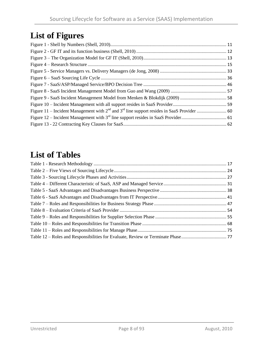# <span id="page-7-0"></span>**List of Figures**

# <span id="page-7-1"></span>**List of Tables**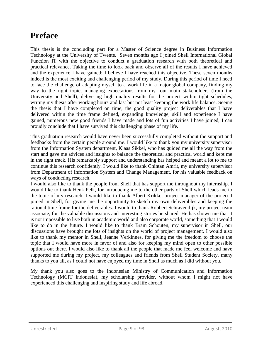# **Preface**

This thesis is the concluding part for a Master of Science degree in Business Information Technology at the University of Twente. Seven months ago I joined Shell International Global Function IT with the objective to conduct a graduation research with both theoretical and practical relevance. Taking the time to look back and observe all of the results I have achieved and the experience I have gained; I believe I have reached this objective. These seven months indeed is the most exciting and challenging period of my study. During this period of time I need to face the challenge of adapting myself to a work life in a major global company, finding my way to the right topic, managing expectations from my four main stakeholders (from the University and Shell), delivering high quality results for the project within tight schedules, writing my thesis after working hours and last but not least keeping the work life balance. Seeing the thesis that I have completed on time, the good quality project deliverables that I have delivered within the time frame defined, expanding knowledge, skill and experience I have gained, numerous new good friends I have made and lots of fun activities I have joined, I can proudly conclude that I have survived this challenging phase of my life.

This graduation research would have never been successfully completed without the support and feedbacks from the certain people around me. I would like to thank you my university supervisor from the Information System department, Klaas Sikkel, who has guided me all the way from the start and gave me advices and insights to balance the theoretical and practical world and kept me in the right track. His remarkably support and understanding has helped and meant a lot to me to continue this research confidently. I would like to thank Chintan Amrit, my university supervisor from Department of Information System and Change Management, for his valuable feedback on ways of conducting research.

I would also like to thank the people from Shell that has support me throughout my internship. I would like to thank Henk Pelk, for introducing me to the other parts of Shell which leads me to the topic of my research. I would like to thank Albert Krikke, project manager of the project I joined in Shell, for giving me the opportunity to sketch my own deliverables and keeping the rational time frame for the deliverables. I would to thank Robbert Schravendijk, my project team associate, for the valuable discussions and interesting stories he shared. He has shown me that it is not impossible to live both in academic world and also corporate world, something that I would like to do in the future. I would like to thank Bram Schouten, my supervisor in Shell, our discussions have brought me lots of insights on the world of project management. I would also like to thank my mentor in Shell, Jeanne Verkinnes, for giving me the freedom to choose the topic that I would have more in favor of and also for keeping my mind open to other possible options out there. I would also like to thank all the people that made me feel welcome and have supported me during my project, my colleagues and friends from Shell Student Society, many thanks to you all, as I could not have enjoyed my time in Shell as much as I did without you.

My thank you also goes to the Indonesian Ministry of Communication and Information Technology (MCIT Indonesia), my scholarship provider, without whom I might not have experienced this challenging and inspiring study and life abroad.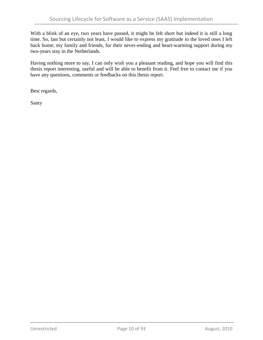With a blink of an eye, two years have passed, it might be felt short but indeed it is still a long time. So, last but certainly not least, I would like to express my gratitude to the loved ones I left back home; my family and friends, for their never-ending and heart-warming support during my two-years stay in the Netherlands.

Having nothing more to say, I can only wish you a pleasant reading, and hope you will find this thesis report interesting, useful and will be able to benefit from it. Feel free to contact me if you have any questions, comments or feedbacks on this thesis report.

Best regards,

Santy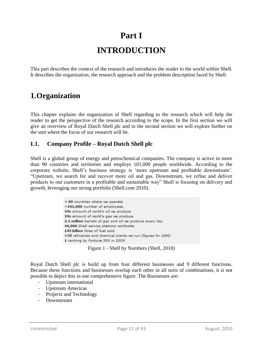# **Part I INTRODUCTION**

<span id="page-10-0"></span>This part describes the context of the research and introduces the reader to the world within Shell. It describes the organization, the research approach and the problem description faced by Shell.

### <span id="page-10-1"></span>**1.Organization**

This chapter explains the organization of Shell regarding to the research which will help the reader to get the perspective of the research according to the scope. In the first section we will give an overview of Royal Dutch Shell plc and in the second section we will explore further on the unit where the focus of our research will be.

### <span id="page-10-2"></span>**1.1. Company Profile – Royal Dutch Shell plc**

Shell is a global group of energy and petrochemical companies. The company is active in more than 90 countries and territories and employs 101,000 people worldwide. According to the corporate website, Shell's business strategy is ‗more upstream and profitable downstream'. ―Upstream, we search for and recover more oil and gas. Downstream, we refine and deliver products to our customers in a profitable and sustainable way" Shell is focusing on delivery and growth, leveraging our strong portfolio (Shell.com 2010).

| + 90 countries where we operate                              |
|--------------------------------------------------------------|
| $\sim$ 101,000 number of employees                           |
| 2% amount of world's oil we produce                          |
| 3% amount of world's gas we produce                          |
| 3.1 million barrels of gas and oil we produce every day      |
| 44,000 Shell service stations worldwide                      |
| 145 billion litres of fuel sold                              |
| >35 refineries and chemical plants we run (figures for 2009) |
| 1 ranking by Fortune 500 in 2009                             |
|                                                              |

Figure 1 - Shell by Numbers (Shell, 2010)

<span id="page-10-3"></span>Royal Dutch Shell plc is build up from four different businesses and 9 different functions. Because these functions and businesses overlap each other in all sorts of combinations, it is not possible to depict this in one comprehensive figure. The Businesses are:

- Upstream international
- Upstream Americas
- Projects and Technology
- Downstream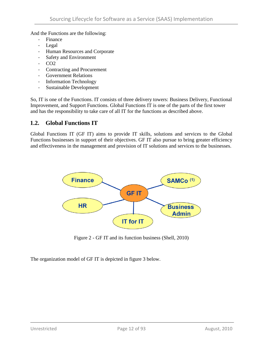And the Functions are the following:

- Finance
- Legal
- Human Resources and Corporate
- Safety and Environment
- CO<sub>2</sub>
- Contracting and Procurement
- Government Relations
- Information Technology
- Sustainable Development

So, IT is one of the Functions. IT consists of three delivery towers: Business Delivery, Functional Improvement, and Support Functions. Global Functions IT is one of the parts of the first tower and has the responsibility to take care of all IT for the functions as described above.

### <span id="page-11-0"></span>**1.2. Global Functions IT**

Global Functions IT (GF IT) aims to provide IT skills, solutions and services to the Global Functions businesses in support of their objectives. GF IT also pursue to bring greater efficiency and effectiveness in the management and provision of IT solutions and services to the businesses.



Figure 2 - GF IT and its function business (Shell, 2010)

<span id="page-11-1"></span>The organization model of GF IT is depicted in figure 3 below.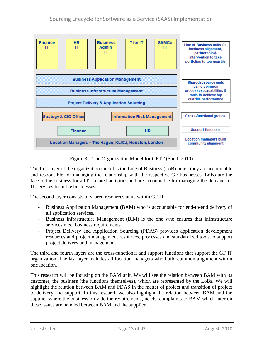

Figure 3 – The Organization Model for GF IT (Shell, 2010)

<span id="page-12-0"></span>The first layer of the organization model is the Line of Business (LoB) units, they are accountable and responsible for managing the relationship with the respective GF businesses. LoBs are the face to the business for all IT-related activities and are accountable for managing the demand for IT services from the businesses.

The second layer consists of shared resources units within GF IT :

- Business Application Management (BAM) who is accountable for end-to-end delivery of all application services.
- Business Infrastructure Management (BIM) is the one who ensures that infrastructure services meet business requirements
- Project Delivery and Application Sourcing (PDAS) provides application development resources and project management resources, processes and standardized tools to support project delivery and management.

The third and fourth layers are the cross-functional and support functions that support the GF IT organization. The last layer includes all location managers who build common alignment within one location.

This research will be focusing on the BAM unit. We will see the relation between BAM with its customer, the business (the functions themselves), which are represented by the LoBs. We will highlight the relation between BAM and PDAS in the matter of project and transition of project to delivery and support. In this research we also highlight the relation between BAM and the supplier where the business provide the requirements, needs, complaints to BAM which later on these issues are handled between BAM and the supplier.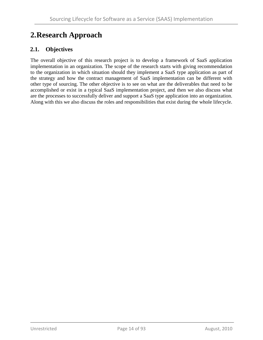# <span id="page-13-0"></span>**2.Research Approach**

### <span id="page-13-1"></span>**2.1. Objectives**

The overall objective of this research project is to develop a framework of SaaS application implementation in an organization. The scope of the research starts with giving recommendation to the organization in which situation should they implement a SaaS type application as part of the strategy and how the contract management of SaaS implementation can be different with other type of sourcing. The other objective is to see on what are the deliverables that need to be accomplished or exist in a typical SaaS implementation project, and then we also discuss what are the processes to successfully deliver and support a SaaS type application into an organization. Along with this we also discuss the roles and responsibilities that exist during the whole lifecycle.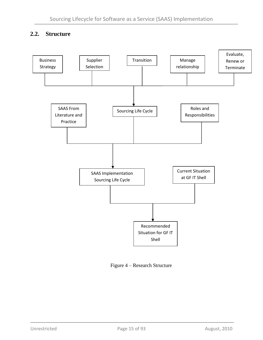### <span id="page-14-0"></span>**2.2. Structure**



Figure 4 – Research Structure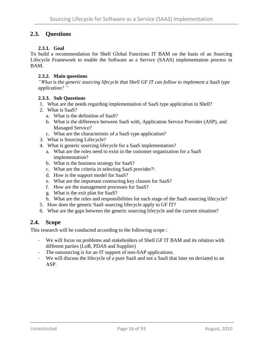### <span id="page-15-0"></span>**2.3. Questions**

#### <span id="page-15-1"></span>**2.3.1. Goal**

To build a recommendation for Shell Global Functions IT BAM on the basis of an Sourcing Lifecycle Framework to enable the Software as a Service (SAAS) implementation process in BAM.

#### <span id="page-15-2"></span>**2.3.2. Main questions**

*"What is the generic sourcing lifecycle that Shell GF IT can follow to implement a SaaS type application? "*

### <span id="page-15-3"></span>**2.3.3. Sub Questions**

- 1. What are the needs regarding implementation of SaaS type application in Shell?
- 2. What is SaaS?
	- a. What is the definition of SaaS?
	- b. What is the difference between SaaS with, Application Service Provider (ASP), and Managed Service?
	- c. What are the characteristic of a SaaS type application?
- 3. What is Sourcing Lifecycle?
- 4. What is generic sourcing lifecycle for a SaaS implementation?
	- a. What are the roles need to exist in the customer organization for a SaaS implementation?
	- b. What is the business strategy for SaaS?
	- c. What are the criteria in selecting SaaS provider?\
	- d. How is the support model for SaaS?
	- e. What are the important contracting key clauses for SaaS?
	- f. How are the management processes for SaaS?
	- g. What is the exit plan for SaaS?
	- h. What are the roles and responsibilities for each stage of the SaaS sourcing lifecycle?
- 5. How does the generic SaaS sourcing lifecycle apply to GF IT?
- 6. What are the gaps between the generic sourcing lifecycle and the current situation?

### <span id="page-15-4"></span>**2.4. Scope**

This research will be conducted according to the following scope :

- We will focus on problems and stakeholders of Shell GF IT BAM and its relation with different parties (LoB, PDAS and Supplier)
- The outsourcing is for an IT support of non-SAP applications.
- We will discuss the lifecycle of a pure SaaS and not a SaaS that later on deviated to an ASP.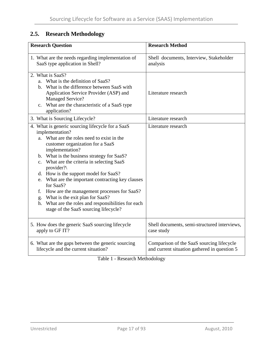### <span id="page-16-0"></span>**2.5. Research Methodology**

| <b>Research Question</b>                                                                                                                                                                                                                                                                                                                                                                                                                                                                                                                                                                                    | <b>Research Method</b>                                                                    |
|-------------------------------------------------------------------------------------------------------------------------------------------------------------------------------------------------------------------------------------------------------------------------------------------------------------------------------------------------------------------------------------------------------------------------------------------------------------------------------------------------------------------------------------------------------------------------------------------------------------|-------------------------------------------------------------------------------------------|
| 1. What are the needs regarding implementation of<br>SaaS type application in Shell?                                                                                                                                                                                                                                                                                                                                                                                                                                                                                                                        | Shell documents, Interview, Stakeholder<br>analysis                                       |
| 2. What is SaaS?<br>What is the definition of SaaS?<br>$a_{-}$<br>b. What is the difference between SaaS with<br>Application Service Provider (ASP) and<br><b>Managed Service?</b><br>c. What are the characteristic of a SaaS type<br>application?                                                                                                                                                                                                                                                                                                                                                         | Literature research                                                                       |
| 3. What is Sourcing Lifecycle?                                                                                                                                                                                                                                                                                                                                                                                                                                                                                                                                                                              | Literature research                                                                       |
| 4. What is generic sourcing lifecycle for a SaaS<br>implementation?<br>a. What are the roles need to exist in the<br>customer organization for a SaaS<br>implementation?<br>b. What is the business strategy for SaaS?<br>c. What are the criteria in selecting SaaS<br>provider? $\setminus$<br>d. How is the support model for SaaS?<br>What are the important contracting key clauses<br>e.<br>for SaaS?<br>How are the management processes for SaaS?<br>f.<br>What is the exit plan for SaaS?<br>g.<br>What are the roles and responsibilities for each<br>h.<br>stage of the SaaS sourcing lifecycle? | Literature research                                                                       |
| 5. How does the generic SaaS sourcing lifecycle<br>apply to GF IT?                                                                                                                                                                                                                                                                                                                                                                                                                                                                                                                                          | Shell documents, semi-structured interviews,<br>case study                                |
| 6. What are the gaps between the generic sourcing<br>lifecycle and the current situation?                                                                                                                                                                                                                                                                                                                                                                                                                                                                                                                   | Comparison of the SaaS sourcing lifecycle<br>and current situation gathered in question 5 |

<span id="page-16-1"></span>Table 1 - Research Methodology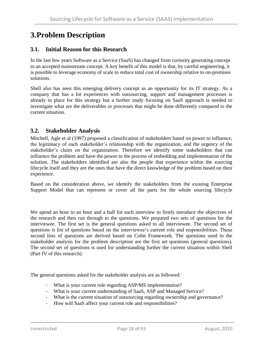### <span id="page-17-0"></span>**3.Problem Description**

### <span id="page-17-1"></span>**3.1. Initial Reason for this Research**

In the last few years Software as a Service (SaaS) has changed from curiosity generating concept to an accepted mainstream concept. A key benefit of this model is that, by careful engineering, it is possible to leverage economy of scale to reduce total cost of ownership relative to on-premises solutions.

Shell also has seen this emerging delivery concept as an opportunity for its IT strategy. As a company that has a lot experiences with outsourcing, support and management processes is already in place for this strategy but a further study focusing on SaaS approach is needed to investigate what are the deliverables or processes that might be done differently compared to the current situation.

### <span id="page-17-2"></span>**3.2. Stakeholder Analysis**

Mitchell, Agle et al (1997) proposed a classification of stakeholders based on power to influence, the legitimacy of each stakeholder's relationship with the organization, and the urgency of the stakeholder's claim on the organization. Therefore we identify some stakeholders that can influence the problem and have the power to the process of embedding and implementation of the solution. The stakeholders identified are also the people that experience within the sourcing lifecycle itself and they are the ones that have the direct knowledge of the problem based on their experience.

Based on the consideration above, we identify the stakeholders from the existing Enterprise Support Model that can represent or cover all the parts for the whole sourcing lifecycle

We spend an hour to an hour and a half for each interview to firstly introduce the objectives of the research and then run through to the questions. We prepared two sets of questions for the interviewee. The first set is the general questions asked to all interviewee. The second set of questions is list of questions based on the interviewee's current role and responsibilities. These second lists of questions are derived based on Cobit Framework. The questions used in the stakeholder analysis for the problem description are the first set questions (general questions). The second set of questions is used for understanding further the current situation within Shell (Part IV of this research).

The general questions asked for the stakeholder analysis are as followed:

- What is your current role regarding ASP/MS implementation?
- What is your current understanding of SaaS, ASP and Managed Service?
- What is the current situation of outsourcing regarding ownership and governance?
- How will SaaS affect your current role and responsibilities?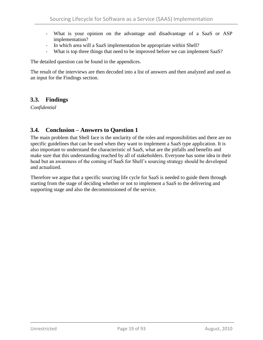- What is your opinion on the advantage and disadvantage of a SaaS or ASP implementation?
- In which area will a SaaS implementation be appropriate within Shell?
- What is top three things that need to be improved before we can implement SaaS?

The detailed question can be found in the appendices.

The result of the interviews are then decoded into a list of answers and then analyzed and used as an input for the Findings section.

### <span id="page-18-0"></span>**3.3. Findings**

*Confidential*

### <span id="page-18-1"></span>**3.4. Conclusion – Answers to Question 1**

The main problem that Shell face is the unclarity of the roles and responsibilities and there are no specific guidelines that can be used when they want to implement a SaaS type application. It is also important to understand the characteristic of SaaS, what are the pitfalls and benefits and make sure that this understanding reached by all of stakeholders. Everyone has some idea in their head but an awareness of the coming of SaaS for Shell's sourcing strategy should be developed and actualized.

Therefore we argue that a specific sourcing life cycle for SaaS is needed to guide them through starting from the stage of deciding whether or not to implement a SaaS to the delivering and supporting stage and also the decommissioned of the service.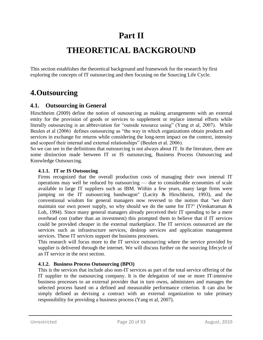## **Part II**

# **THEORETICAL BACKGROUND**

<span id="page-19-0"></span>This section establishes the theoretical background and framework for the research by first exploring the concepts of IT outsourcing and then focusing on the Sourcing Life Cycle.

### <span id="page-19-1"></span>**4.Outsourcing**

### <span id="page-19-2"></span>**4.1. Outsourcing in General**

Hirschheim (2009) define the notion of outsourcing as making arrangements with an external entity for the provision of goods or services to supplement or replace internal efforts while literally outsourcing is an abbreviation for "outside resource using" (Yang et al, 2007). While Beulen et al (2006) defines outsourcing as "the way in which organizations obtain products and services in exchange for returns while considering the long-term impact on the context, intensity and scopeof their internal and external relationships" (Beulen et al. 2006).

So we can see in the definitions that outsourcing is not always about IT. In the literature, there are some distinction made between IT or IS outsourcing, Business Process Outsourcing and Knowledge Outsourcing.

### <span id="page-19-3"></span>**4.1.1. IT or IS Outsoucing**

Firms recognized that the overall production costs of managing their own internal IT operations may well be reduced by outsourcing — due to considerable economies of scale available to large IT suppliers such as IBM. Within a few years, many large firms were jumping on the IT outsourcing bandwagon" (Lacity & Hirschheim, 1993), and the conventional wisdom for general managers now reversed to the notion that "we don't maintain our own power supply, so why should we do the same for IT?" (Venkatraman & Loh, 1994). Since many general managers already perceived their IT spending to be a mere overhead cost (rather than an investment) this prompted them to believe that if IT services could be provided cheaper in the external marketplace. The IT services outsourced are the services such as infrastructure services, desktop services and application management services. These IT services support the business processes.

This research will focus more to the IT service outsourcing where the service provided by supplier is delivered through the internet. We will discuss further on the sourcing lifecycle of an IT service in the next section.

### <span id="page-19-4"></span>**4.1.2. Business Process Outsourcing (BPO)**

This is the services that include also non-IT services as part of the total service offering of the IT supplier to the outsourcing company. It is the delegation of one or more IT-intensive business processes to an external provider that in turn owns, administers and manages the selected process based on a defined and measurable performance criterion. It can also be simply defined as devising a contract with an external organization to take primary responsibility for providing a business process (Yang et al, 2007).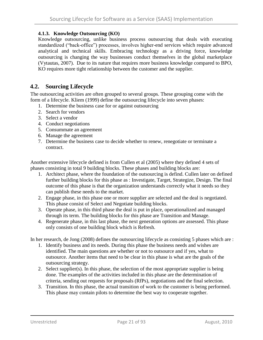### <span id="page-20-0"></span>**4.1.3. Knowledge Outsourcing (KO)**

Knowledge outsourcing, unlike business process outsourcing that deals with executing standardized ("back-office") processes, involves higher-end services which require advanced analytical and technical skills. Embracing technology as a driving force, knowledge outsourcing is changing the way businesses conduct themselves in the global marketplace (Vytautas, 2007). Due to its nature that requires more business knowledge compared to BPO, KO requires more tight relationship between the customer and the supplier.

### <span id="page-20-1"></span>**4.2. Sourcing Lifecycle**

The outsourcing activities are often grouped to several groups. These grouping come with the form of a lifecycle. Kliem (1999) define the outsourcing lifecycle into seven phases:

- 1. Determine the business case for or against outsourcing
- 2. Search for vendors
- 3. Select a vendor
- 4. Conduct negotiations
- 5. Consummate an agreement
- 6. Manage the agreement
- 7. Determine the business case to decide whether to renew, renegotiate or terminate a contract.

Another extensive lifecycle defined is from Cullen et al (2005) where they defined 4 sets of phases consisting in total 9 building blocks. These phases and building blocks are:

- 1. Architect phase, where the foundation of the outsourcing is defind. Cullen later on defined further building blocks for this phase as : Investigate, Target, Strategize, Design. The final outcome of this phase is that the organization understands correctly what it needs so they can publish these needs to the market.
- 2. Engage phase, in this phase one or more supplier are selected and the deal is negotiated. This phase consist of Select and Negotiate building blocks.
- 3. Operate phase, in this third phase the deal is put in place, operationalized and managed through its term. The building blocks for this phase are Transition and Manage.
- 4. Regenerate phase, in this last phase, the next generation options are assessed. This phase only consists of one building block which is Refresh.

In her research, de Jong (2008) defines the outsourcing lifecycle as consisting 5 phases which are :

- 1. Identify business and its needs. During this phase the business needs and wishes are identified. The main questions are whether or not to outsource and if yes, what to outsource. Another items that need to be clear in this phase is what are the goals of the outsourcing strategy.
- 2. Select supplier(s). In this phase, the selection of the most appropriate supplier is being done. The examples of the activities included in this phase are the determination of criteria, sending out requests for proposals (RfPs), negotiations and the final selection.
- 3. Transition. In this phase, the actual transition of work to the customer is being performed. This phase may contain pilots to determine the best way to cooperate together.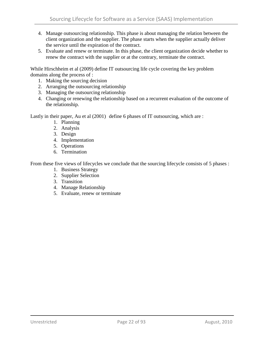- 4. Manage outsourcing relationship. This phase is about managing the relation between the client organization and the supplier. The phase starts when the supplier actually deliver the service until the expiration of the contract.
- 5. Evaluate and renew or terminate. In this phase, the client organization decide whether to renew the contract with the supplier or at the contrary, terminate the contract.

While Hirschheim et al (2009) define IT outsourcing life cycle covering the key problem domains along the process of :

- 1. Making the sourcing decision
- 2. Arranging the outsourcing relationship
- 3. Managing the outsourcing relationship
- 4. Changing or renewing the relationship based on a recurrent evaluation of the outcome of the relationship.

Lastly in their paper, Au et al (2001) define 6 phases of IT outsourcing, which are :

- 1. Planning
- 2. Analysis
- 3. Design
- 4. Implementation
- 5. Operations
- 6. Termination

From these five views of lifecycles we conclude that the sourcing lifecycle consists of 5 phases :

- 1. Business Strategy
- 2. Supplier Selection
- 3. Transition
- 4. Manage Relationship
- 5. Evaluate, renew or terminate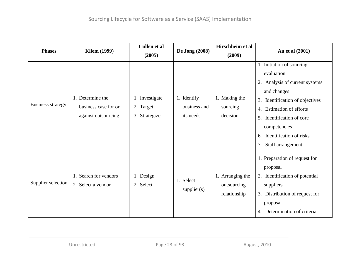| <b>Phases</b>            | <b>Kliem (1999)</b>                                             | <b>Cullen et al</b>                          | De Jong (2008)                           | Hirschheim et al                                | Au et al (2001)                                                                                                                                                                                                                                            |
|--------------------------|-----------------------------------------------------------------|----------------------------------------------|------------------------------------------|-------------------------------------------------|------------------------------------------------------------------------------------------------------------------------------------------------------------------------------------------------------------------------------------------------------------|
|                          |                                                                 | (2005)                                       |                                          | (2009)                                          |                                                                                                                                                                                                                                                            |
| <b>Business strategy</b> | 1. Determine the<br>business case for or<br>against outsourcing | 1. Investigate<br>2. Target<br>3. Strategize | 1. Identify<br>business and<br>its needs | 1. Making the<br>sourcing<br>decision           | 1. Initiation of sourcing<br>evaluation<br>2. Analysis of current systems<br>and changes<br>3. Identification of objectives<br>4. Estimation of efforts<br>5. Identification of core<br>competencies<br>6. Identification of risks<br>7. Staff arrangement |
| Supplier selection       | 1. Search for vendors<br>2. Select a vendor                     | 1. Design<br>2. Select                       | 1. Select<br>supplier(s)                 | 1. Arranging the<br>outsourcing<br>relationship | 1. Preparation of request for<br>proposal<br>2. Identification of potential<br>suppliers<br>3. Distribution of request for<br>proposal<br>Determination of criteria<br>4.                                                                                  |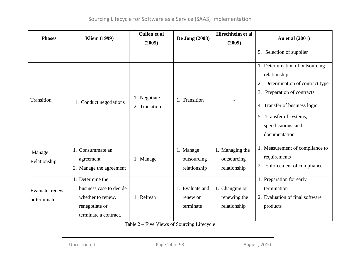| <b>Phases</b>                   | <b>Kliem (1999)</b>                                                                                         | <b>Cullen et al</b>           | <b>De Jong (2008)</b>                    | Hirschheim et al                               | Au et al (2001)                                                                                                                                                                                                         |
|---------------------------------|-------------------------------------------------------------------------------------------------------------|-------------------------------|------------------------------------------|------------------------------------------------|-------------------------------------------------------------------------------------------------------------------------------------------------------------------------------------------------------------------------|
|                                 |                                                                                                             | (2005)                        |                                          | (2009)                                         |                                                                                                                                                                                                                         |
|                                 |                                                                                                             |                               |                                          |                                                | 5. Selection of supplier                                                                                                                                                                                                |
| Transition                      | 1. Conduct negotiations                                                                                     | 1. Negotiate<br>2. Transition | 1. Transition                            |                                                | 1. Determination of outsourcing<br>relationship<br>2. Determination of contract type<br>3. Preparation of contracts<br>4. Transfer of business logic<br>5. Transfer of systems,<br>specifications, and<br>documentation |
| Manage<br>Relationship          | 1. Consummate an<br>agreement<br>2. Manage the agreement                                                    | 1. Manage                     | 1. Manage<br>outsourcing<br>relationship | 1. Managing the<br>outsourcing<br>relationship | 1. Measurement of compliance to<br>requirements<br>2. Enforcement of compliance                                                                                                                                         |
| Evaluate, renew<br>or terminate | 1. Determine the<br>business case to decide<br>whether to renew,<br>renegotiate or<br>terminate a contract. | 1. Refresh                    | 1. Evaluate and<br>renew or<br>terminate | 1. Changing or<br>renewing the<br>relationship | 1. Preparation for early<br>termination<br>2. Evaluation of final software<br>products                                                                                                                                  |

<span id="page-23-0"></span>Table 2 – Five Views of Sourcing Lifecycle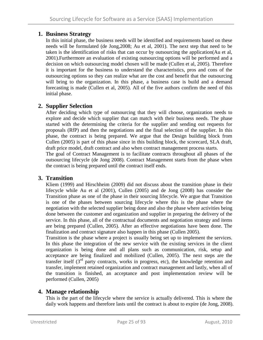### **1. Business Strategy**

In this initial phase, the business needs will be identified and requirements based on these needs will be formulated (de Jong,2008; Au et al, 2001). The next step that need to be taken is the identification of risks that can occur by outsourcing the application(Au et al, 2001).Furthermore an evaluation of existing outsourcing options will be performed and a decision on which outsourcing model chosen will be made (Cullen et al, 2005). Therefore it is important for the business to understand the characteristics, pros and cons of the outsourcing options so they can realize what are the cost and benefit that the outsourcing will bring to the organization. In this phase, a business case is build and a demand forecasting is made (Cullen et al, 2005). All of the five authors confirm the need of this initial phase.

### **2. Supplier Selection**

After deciding which type of outsourcing that they will choose, organization needs to explore and decide which supplier that can match with their business needs. The phase started with the determining the criteria for the supplier and sending out requests for proposals (RfP) and then the negotiations and the final selection of the supplier. In this phase, the contract is being prepared. We argue that the Design building block from Cullen (2005) is part of this phase since in this building block, the scorecard, SLA draft, draft price model, draft contract and also when contract management process starts.

The goal of Contract Management is to facilitate contracts throughout all phases of the outsourcing lifecycle (de Jong 2008). Contract Management starts from the phase when the contract is being prepared until the contract itself ends.

### **3. Transition**

Kliem (1999) and Hirschheim (2009) did not discuss about the transition phase in their lifecycle while Au et al (2001), Cullen (2005) and de Jong (2008) has consider the Transition phase as one of the phase in their sourcing lifecycle. We argue that Transition is one of the phases between sourcing lifecycle where this is the phase where the negotiation with the selected supplier being done and also the phase where activities being done between the customer and organization and supplier in preparing the delivery of the service. In this phase, all of the contractual documents and negotiation strategy and items are being prepared (Cullen, 2005). After an effective negotiations have been done. The finalization and contract signature also happen in this phase (Cullen 2005).

Transition is the phase where a project is usually being set up to implement the services. In this phase the integration of the new service with the existing services in the client organization is being done and all plans such as communication, risk, setup and acceptance are being finalized and mobilized (Cullen, 2005). The next steps are the transfer itself  $(3<sup>rd</sup>$  party contracts, works in progress, etc), the knowledge retention and transfer, implement retained organization and contract management and lastly, when all of the transition is finished, an acceptance and post implementation review will be performed (Cullen, 2005)

### **4. Manage relationship**

This is the part of the lifecycle where the service is actually delivered. This is where the daily work happens and therefore lasts until the contract is about to expire (de Jong, 2008).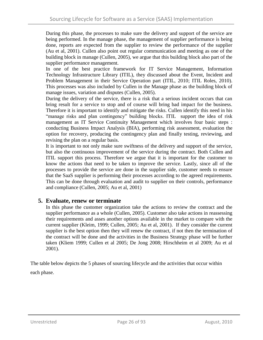During this phase, the processes to make sure the delivery and support of the service are being performed. In the manage phase, the management of supplier performance is being done, reports are expected from the supplier to review the performance of the supplier (Au et al, 2001). Cullen also point out regular communication and meeting as one of the building block in manage (Cullen, 2005), we argue that this building block also part of the supplier performance management.

In one of the best practice framework for IT Service Management, Information Technology Infrastructure Library (ITIL), they discussed about the Event, Incident and Problem Management in their Service Operation part (ITIL, 2010; ITIL Roles, 2010). This processes was also included by Cullen in the Manage phase as the building block of manage issues, variation and disputes (Cullen, 2005).

During the delivery of the service, there is a risk that a serious incident occurs that can bring result for a service to stop and of course will bring bad impact for the business. Therefore it is important to identify and mitigate the risks. Cullen identify this need in his "manage risks and plan contingency" building blocks. ITIL support the idea of risk management as IT Service Continuity Management which involves four basic steps : conducting Business Impact Analysis (BIA), performing risk assessment, evaluation the option for recovery, producing the contingency plan and finally testing, reviewing, and revising the plan on a regular basis.

It is important to not only make sure swiftness of the delivery and support of the service, but also the continuous improvement of the service during the contract. Both Cullen and ITIL support this process. Therefore we argue that it is important for the customer to know the actions that need to be taken to improve the service. Lastly, since all of the processes to provide the service are done in the supplier side, customer needs to ensure that the SaaS supplier is performing their processes according to the agreed requirements. This can be done through evaluation and audit to supplier on their controls, performance and compliance (Cullen, 2005; Au et al, 2001)

### **5. Evaluate, renew or terminate**

In this phase the customer organization take the actions to review the contract and the supplier performance as a whole (Cullen, 2005). Customer also take actions in reassessing their requirements and asses another options available in the market to compare with the current supplier (Kleim, 1999; Cullen, 2005; Au et al, 2001). If they consider the current supplier is the best option then they will renew the contract, if not then the termination of the contract will be done and the activities in the Business Strategy phase will be further taken (Kliem 1999; Cullen et al 2005; De Jong 2008; Hirschheim et al 2009; Au et al 2001).

The table below depicts the 5 phases of sourcing lifecycle and the activities that occur within each phase.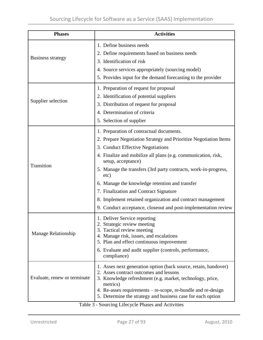| <b>Phases</b>                | <b>Activities</b>                                                                                                                                                                                                                                                                                                                                                                                                                                                                                                                               |  |  |
|------------------------------|-------------------------------------------------------------------------------------------------------------------------------------------------------------------------------------------------------------------------------------------------------------------------------------------------------------------------------------------------------------------------------------------------------------------------------------------------------------------------------------------------------------------------------------------------|--|--|
| <b>Business strategy</b>     | 1. Define business needs<br>2. Define requirements based on business needs<br>3. Identification of risk<br>4. Source services appropriately (sourcing model)<br>5. Provides input for the demand forecasting to the provider                                                                                                                                                                                                                                                                                                                    |  |  |
| Supplier selection           | 1. Preparation of request for proposal<br>2. Identification of potential suppliers<br>3. Distribution of request for proposal<br>4. Determination of criteria<br>5. Selection of supplier                                                                                                                                                                                                                                                                                                                                                       |  |  |
| Transition                   | 1. Preparation of contractual documents.<br>2. Prepare Negotiation Strategy and Prioritize Negotiation Items<br>3. Conduct Effective Negotiations<br>4. Finalize and mobilize all plans (e.g. communication, risk,<br>setup, acceptance)<br>5. Manage the transfers (3rd party contracts, work-in-progress,<br>etc)<br>6. Manage the knowledge retention and transfer<br>7. Finalization and Contract Signature<br>8. Implement retained organization and contract management<br>9. Conduct acceptance, closeout and post-implementation review |  |  |
| <b>Manage Relationship</b>   | 1. Deliver Service reporting<br>2. Strategic review meeting<br>3. Tactical review meeting<br>4. Manage risk, issues, and escalations<br>5. Plan and effect continuous improvement<br>6. Evaluate and audit supplier (controls, performance,<br>compliance)                                                                                                                                                                                                                                                                                      |  |  |
| Evaluate, renew or terminate | 1. Asses next generation option (back source, retain, handover)<br>2. Asses contract outcomes and lessons<br>3. Knowledge refreshment (e.g. market, technology, price,<br>metrics)<br>4. Re-asses requirements – re-scope, re-bundle and re-design<br>5. Determine the strategy and business case for each option                                                                                                                                                                                                                               |  |  |

### <span id="page-26-0"></span>Table 3 - Sourcing Lifecycle Phases and Activities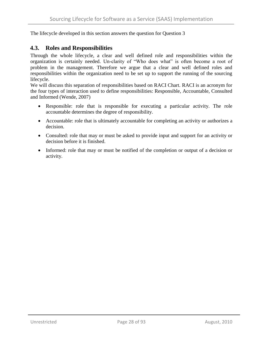The lifecycle developed in this section answers the question for Question 3

### <span id="page-27-0"></span>**4.3. Roles and Responsibilities**

Through the whole lifecycle, a clear and well defined role and responsibilities within the organization is certainly needed. Un-clarity of "Who does what" is often become a root of problem in the management. Therefore we argue that a clear and well defined roles and responsibilities within the organization need to be set up to support the running of the sourcing lifecycle.

We will discuss this separation of responsibilities based on RACI Chart. RACI is an acronym for the four types of interaction used to define responsibilities: Responsible, Accountable, Consulted and Informed (Wende, 2007)

- Responsible: role that is responsible for executing a particular activity. The role accountable determines the degree of responsibility.
- Accountable: role that is ultimately accountable for completing an activity or authorizes a decision.
- Consulted: role that may or must be asked to provide input and support for an activity or decision before it is finished.
- Informed: role that may or must be notified of the completion or output of a decision or activity.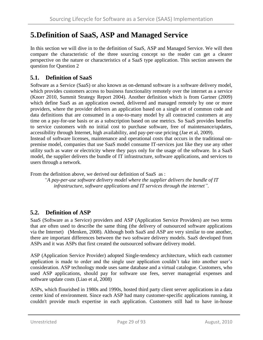### <span id="page-28-0"></span>**5.Definition of SaaS, ASP and Managed Service**

In this section we will dive in to the definition of SaaS, ASP and Managed Service. We will then compare the characteristic of the three sourcing concept so the reader can get a clearer perspective on the nature or characteristics of a SaaS type application. This section answers the question for Question 2

### <span id="page-28-1"></span>**5.1. Definition of SaaS**

Software as a Service (SaaS) or also known as on-demand software is a software delivery model, which provides customers access to business functionality remotely over the internet as a service (Knorr 2010, Summit Strategy Report 2004). Another definition which is from Gartner (2009) which define SaaS as an application owned, delivered and managed remotely by one or more providers, where the provider delivers an application based on a single set of common code and data definitions that are consumed in a one-to-many model by all contracted customers at any time on a pay-for-use basis or as a subscription based on use metrics. So SaaS provides benefits to service customers with no initial cost to purchase software, free of maintenance/updates, accessibility through Internet, high availability, and pay-per-use pricing (Jae et al, 2009).

Instead of software licenses, maintenance and operational costs that occurs in the traditional onpremise model, companies that use SaaS model consume IT-services just like they use any other utility such as water or electricity where they pays only for the usage of the software. In a SaaS model, the supplier delivers the bundle of IT infrastructure, software applications, and services to users through a network.

From the definition above, we derived our definition of SaaS as :

*"A pay-per-use software delivery model where the supplier delivers the bundle of IT infrastructure, software applications and IT services through the internet".*

### <span id="page-28-2"></span>**5.2. Definition of ASP**

SaaS (Software as a Service) providers and ASP (Application Service Providers) are two terms that are often used to describe the same thing (the delivery of outsourced software applications via the Internet) (Menken, 2008). Although both SaaS and ASP are very similar to one another, there are important differences between the two software delivery models. SaaS developed from ASPs and it was ASPs that first created the outsourced software delivery model.

ASP (Application Service Provider) adopted Single-tendency architecture, which each customer application is made to order and the single user application couldn't take into another user's consideration. ASP technology mode uses same database and a virtual catalogue. Customers, who used ASP applications, should pay for software use fees, server managerial expenses and software update costs (Liao et al, 2008)

ASPs, which flourished in 1980s and 1990s, hosted third party client server applications in a data center kind of environment. Since each ASP had many customer-specific applications running, it couldn't provide much expertise in each application. Customers still had to have in-house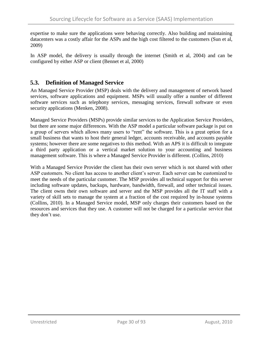expertise to make sure the applications were behaving correctly. Also building and maintaining datacenters was a costly affair for the ASPs and the high cost filtered to the customers (Sun et al, 2009)

In ASP model, the delivery is usually through the internet (Smith et al, 2004) and can be configured by either ASP or client (Bennet et al, 2000)

### <span id="page-29-0"></span>**5.3. Definition of Managed Service**

An Managed Service Provider (MSP) deals with the delivery and management of network based services, software applications and equipment. MSPs will usually offer a number of different software services such as telephony services, messaging services, firewall software or even security applications (Menken, 2008).

Managed Service Providers (MSPs) provide similar services to the Application Service Providers, but there are some major differences. With the ASP model a particular software package is put on a group of servers which allows many users to "rent" the software. This is a great option for a small business that wants to host their general ledger, accounts receivable, and accounts payable systems; however there are some negatives to this method. With an APS it is difficult to integrate a third party application or a vertical market solution to your accounting and business management software. This is where a Managed Service Provider is different. (Collins, 2010)

With a Managed Service Provider the client has their own server which is not shared with other ASP customers. No client has access to another client's server. Each server can be customized to meet the needs of the particular customer. The MSP provides all technical support for this server including software updates, backups, hardware, bandwidth, firewall, and other technical issues. The client owns their own software and server and the MSP provides all the IT staff with a variety of skill sets to manage the system at a fraction of the cost required by in-house systems (Collins, 2010). In a Managed Service model, MSP only charges their customers based on the resources and services that they use. A customer will not be charged for a particular service that they don't use.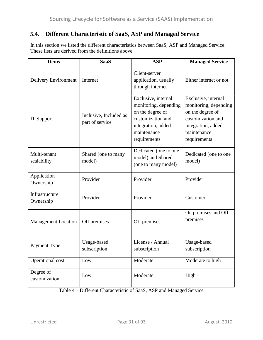### <span id="page-30-0"></span>**5.4. Different Characteristic of SaaS, ASP and Managed Service**

In this section we listed the different characteristics between SaaS, ASP and Managed Service. These lists are derived from the definitions above.

| <b>Items</b>                | <b>SaaS</b>                               | <b>ASP</b>                                                                                                                                 | <b>Managed Service</b>                                                                                                                     |
|-----------------------------|-------------------------------------------|--------------------------------------------------------------------------------------------------------------------------------------------|--------------------------------------------------------------------------------------------------------------------------------------------|
| Delivery Environment        | Internet                                  | Client-server<br>application, usually<br>through internet                                                                                  | Either internet or not                                                                                                                     |
| <b>IT Support</b>           | Inclusive, Included as<br>part of service | Exclusive, internal<br>monitoring, depending<br>on the degree of<br>customization and<br>integration, added<br>maintenance<br>requirements | Exclusive, internal<br>monitoring, depending<br>on the degree of<br>customization and<br>integration, added<br>maintenance<br>requirements |
| Multi-tenant<br>scalability | Shared (one to many<br>model)             | Dedicated (one to one<br>model) and Shared<br>(one to many model)                                                                          | Dedicated (one to one<br>model)                                                                                                            |
| Application<br>Ownership    | Provider                                  | Provider                                                                                                                                   | Provider                                                                                                                                   |
| Infrastructure<br>Ownership | Provider                                  | Provider                                                                                                                                   | Customer                                                                                                                                   |
| <b>Management Location</b>  | Off premises                              | Off premises                                                                                                                               | On premises and Off<br>premises                                                                                                            |
| Payment Type                | Usage-based<br>subscription               | License / Annual<br>subscription                                                                                                           | Usage-based<br>subscription                                                                                                                |
| Operational cost            | Low                                       | Moderate                                                                                                                                   | Moderate to high                                                                                                                           |
| Degree of<br>customization  | Low                                       | Moderate                                                                                                                                   | High                                                                                                                                       |

<span id="page-30-1"></span>Table 4 – Different Characteristic of SaaS, ASP and Managed Service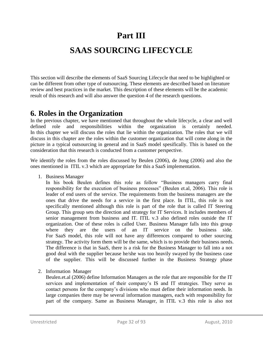# **Part III**

# <span id="page-31-0"></span>**SAAS SOURCING LIFECYCLE**

This section will describe the elements of SaaS Sourcing Lifecycle that need to be highlighted or can be different from other type of outsourcing. These elements are described based on literature review and best practices in the market. This description of these elements will be the academic result of this research and will also answer the question 4 of the research questions.

### <span id="page-31-1"></span>**6. Roles in the Organization**

In the previous chapter, we have mentioned that throughout the whole lifecycle, a clear and well defined role and responsibilities within the organization is certainly needed. In this chapter we will discuss the roles that lie within the organization. The roles that we will discuss in this chapter are the roles within the customer organization that will come along in the picture in a typical outsourcing in general and in SaaS model spesifically. This is based on the consideration that this research is conducted from a customer perspective.

We identify the roles from the roles discussed by Beulen (2006), de Jong (2006) and also the ones mentioned in ITIL v.3 which are appropriate for this a SaaS implementation.

1. Business Manager

In his book Beulen defines this role as follow "Business managers carry final responsibility for the execution of business processes" (Beulen et.al, 2006). This role is leader of end users of the service. The requirements from the business managers are the ones that drive the needs for a service in the first place. In ITIL, this role is not specifically mentioned although this role is part of the role that is called IT Steering Group. This group sets the direction and strategy for IT Services. It includes members of senior management from business and IT. ITIL v.3 also defined roles outside the IT organization. One of these roles is called User. Business Manager falls into this group where they are the users of an IT service on the business side. For SaaS model, this role will not have any differences compared to other sourcing strategy. The activity form them will be the same, which is to provide their business needs. The difference is that in SaaS, there is a risk for the Business Manager to fall into a not good deal with the supplier because he/she was too heavily swayed by the business case of the supplier. This will be discussed further in the Business Strategy phase

2. Information Manager

Beulen.et.al (2006) define Information Managers as the role that are responsible for the IT services and implementation of their company's IS and IT strategies. They serve as contact persons for the company's divisions who must define their information needs. In large companies there may be several information managers, each with responsibility for part of the company. Same as Business Manager, in ITIL v.3 this role is also not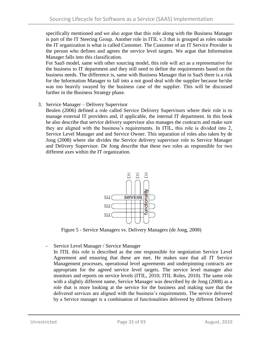specifically mentioned and we also argue that this role along with the Business Manager is part of the IT Steering Group. Another role in ITIL v.3 that is grouped as roles outside the IT organization is what is called Customer. The Customer of an IT Service Provider is the person who defines and agrees the service level targets. We argue that Information Manager falls into this classification.

For SaaS model, same with other sourcing model, this role will act as a representative for the business to IT department and they still need to define the requirements based on the business needs. The difference is, same with Business Manager that in SaaS there is a risk for the Information Manager to fall into a not good deal with the supplier because he/she was too heavily swayed by the business case of the supplier. This will be discussed further in the Business Strategy phase.

3. Service Manager – Delivery Supervisor

Beulen (2006) defined a role called Service Delivery Supervisors where their role is to manage external IT providers and, if applicable, the internal IT department. In this book he also describe that service delivery supervisor also manages the contracts and make sure they are aligned with the business's requirements. In ITIL, this role is divided into 2, Service Level Manager and and Service Owner. This separation of roles also taken by de Jong (2008) where she divides the Service delivery supervisor role to Service Manager and Delivery Supervisor. De Jong describe that these two roles as responsible for two different axes within the IT organization.



Figure 5 - Service Managers vs. Delivery Managers (de Jong, 2008)

<span id="page-32-0"></span>Service Level Manager / Service Manager

In ITIL this role is described as the one responsible for negotiation Service Level Agreement and ensuring that these are met. He makes sure that all IT Service Management processes, operational level agreements and underpinning contracts are appropriate for the agreed service level targets. The service level manager also monitors and reports on service levels (ITIL, 2010; ITIL Roles, 2010). The same role with a slightly different name, Service Manager was described by de Jong (2008) as a role that is more looking at the service for the business and making sure that the delivered services are aligned with the business's requirements. The service delivered by a Service manager is a combination of functionalities delivered by different Delivery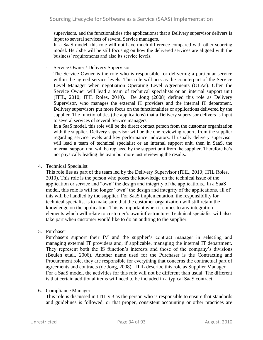supervisors, and the functionalities (the applications) that a Delivery supervisor delivers is input to several services of several Service managers.

In a SaaS model, this role will not have much difference compared with other sourcing model. He / she will be still focusing on how the delivered services are aligned with the business' requirements and also its service levels.

Service Owner / Delivery Supervisor

The Service Owner is the role who is responsible for delivering a particular service within the agreed service levels. This role will acts as the counterpart of the Service Level Manager when negotiation Operating Level Agreements (OLAs). Often the Service Owner will lead a team of technical specialists or an internal support unit (ITIL, 2010; ITIL Roles, 2010). De Jong (2008) defined this role as Delivery Supervisor, who manages the external IT providers and the internal IT department. Delivery supervisors put more focus on the functionalities or applications delivered by the supplier. The functionalities (the applications) that a Delivery supervisor delivers is input to several services of several Service managers

In a SaaS model, this role will be the direct contact person from the customer organization with the supplier. Delivery supervisor will be the one reviewing reports from the supplier regarding service levels and key performance indicators. If usually delivery supervisor will lead a team of technical specialist or an internal support unit, then in SaaS, the internal support unit will be replaced by the support unit from the supplier. Therefore he's not physically leading the team but more just reviewing the results.

### 4. Technical Specialist

This role lies as part of the team led by the Delivery Supervisor (ITIL, 2010; ITIL Roles, 2010). This role is the person who poses the knowledge on the technical issue of the application or service and "own" the design and integrity of the applications.. In a SaaS model, this role is will no longer "own" the design and integrity of the applications, all of this will be handled by the supplier. For SaaS implementation, the responsibility for technical specialist is to make sure that the customer organization will still retain the knowledge on the application. This is important when it comes to any integration elements which will relate to customer's own infrastructure. Technical specialist will also take part when customer would like to do an auditing to the supplier.

5. Purchaser

Purchasers support their IM and the supplier's contract manager in selecting and managing external IT providers and, if applicable, managing the internal IT department. They represent both the IS function's interests and those of the company's divisions (Beulen et.al., 2006). Another name used for the Purchaser is the Contracting and Procurement role, they are responsible for everything that concerns the contractual part of agreements and contracts (de Jong, 2008). ITIL describe this role as Supplier Manager. For a SaaS model, the activities for this role will not be different than usual. The different is that certain additional items will need to be included in a typical SaaS contract.

### 6. Compliance Manager

This role is discussed in ITIL v.3 as the person who is responsible to ensure that standards and guidelines is followed, or that proper, consistent accounting or other practices are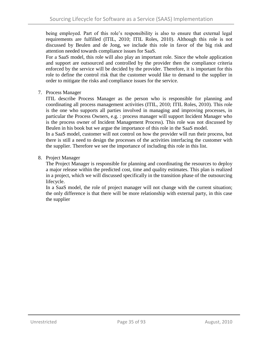being employed. Part of this role's responsibility is also to ensure that external legal requirements are fulfilled (ITIL, 2010; ITIL Roles, 2010). Although this role is not discussed by Beulen and de Jong, we include this role in favor of the big risk and attention needed towards compliance issues for SaaS.

For a SaaS model, this role will also play an important role. Since the whole application and support are outsourced and controlled by the provider then the compliance criteria enforced by the service will be decided by the provider. Therefore, it is important for this role to define the control risk that the customer would like to demand to the supplier in order to mitigate the risks and compliance issues for the service.

### 7. Process Manager

ITIL describe Process Manager as the person who is responsible for planning and coordinating all process management activities (ITIL, 2010; ITIL Roles, 2010). This role is the one who supports all parties involved in managing and improving processes, in particular the Process Owners, e.g. : process manager will support Incident Manager who is the process owner of Incident Management Process). This role was not discussed by Beulen in his book but we argue the importance of this role in the SaaS model.

In a SaaS model, customer will not control on how the provider will run their process, but there is still a need to design the processes of the activities interfacing the customer with the supplier. Therefore we see the importance of including this role in this list.

### 8. Project Manager

The Project Manager is responsible for planning and coordinating the resources to deploy a major release within the predicted cost, time and quality estimates. This plan is realized in a project, which we will discussed specifically in the transition phase of the outsourcing lifecycle.

In a SaaS model, the role of project manager will not change with the current situation; the only difference is that there will be more relationship with external party, in this case the supplier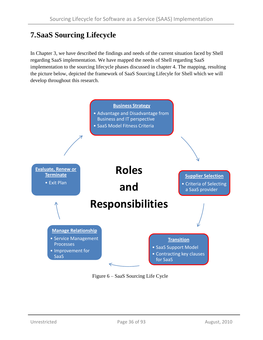### <span id="page-35-0"></span>**7.SaaS Sourcing Lifecycle**

In Chapter 3, we have described the findings and needs of the current situation faced by Shell regarding SaaS implementation. We have mapped the needs of Shell regarding SaaS implementation to the sourcing lifecycle phases discussed in chapter 4. The mapping, resulting the picture below, depicted the framework of SaaS Sourcing Lifecyle for Shell which we will develop throughout this research.



<span id="page-35-1"></span>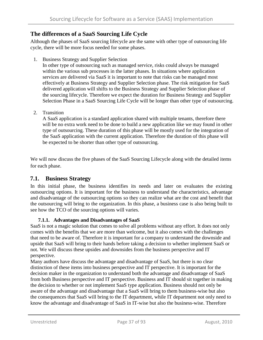# **The differences of a SaaS Sourcing Life Cycle**

Although the phases of SaaS sourcing lifecycle are the same with other type of outsourcing life cycle, there will be more focus needed for some phases.

1. Business Strategy and Supplier Selection

In other type of outsourcing such as managed service, risks could always be managed within the various sub processes in the latter phases. In situations where application services are delivered via SaaS it is important to note that risks can be managed most effectively at Business Strategy and Supplier Selection phase. The risk mitigation for SaaS delivered application will shifts to the Business Strategy and Supplier Selection phase of the sourcing lifecycle. Therefore we expect the duration for Business Strategy and Supplier Selection Phase in a SaaS Sourcing Life Cycle will be longer than other type of outsourcing.

2. Transition

A SaaS application is a standard application shared with multiple tenants, therefore there will be no extra work need to be done to build a new application like we may found in other type of outsourcing. These duration of this phase will be mostly used for the integration of the SaaS application with the current application. Therefore the duration of this phase will be expected to be shorter than other type of outsourcing.

We will now discuss the five phases of the SaaS Sourcing Lifecycle along with the detailed items for each phase.

# **7.1. Business Strategy**

In this initial phase, the business identifies its needs and later on evaluates the existing outsourcing options. It is important for the business to understand the characteristics, advantage and disadvantage of the outsourcing options so they can realize what are the cost and benefit that the outsourcing will bring to the organization. In this phase, a business case is also being built to see how the TCO of the sourcing options will varies.

### **7.1.1. Advantages and Disadvantages of SaaS**

SaaS is not a magic solution that comes to solve all problems without any effort. It does not only comes with the benefits that we are more than welcome, but it also comes with the challenges that need to be aware of. Therefore it is important for a company to understand the downside and upside that SaaS will bring to their hands before taking a decision to whether implement SaaS or not. We will discuss these upsides and downsides from the business perspective and IT perspective.

Many authors have discuss the advantage and disadvantage of SaaS, but there is no clear distinction of these items into business perspective and IT perspective. It is important for the decision maker in the organization to understand both the advantage and disadvantage of SaaS from both Business perspective and IT perspective. Business and IT should sit together in making the decision to whether or not implement SaaS type application. Business should not only be aware of the advantage and disadvantage that a SaaS will bring to them business-wise but also the consequences that SaaS will bring to the IT department, while IT department not only need to know the advantage and disadvantage of SaaS in IT-wise but also the business-wise. Therefore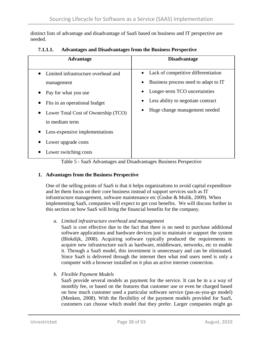distinct lists of advantage and disadvantage of SaaS based on business and IT perspective are needed.

| <b>Advantage</b>                                                                                                                                                                                                                                                   | <b>Disadvantage</b>                                                                                                                                                                              |
|--------------------------------------------------------------------------------------------------------------------------------------------------------------------------------------------------------------------------------------------------------------------|--------------------------------------------------------------------------------------------------------------------------------------------------------------------------------------------------|
| Limited infrastructure overhead and<br>$\bullet$<br>management<br>Pay for what you use<br>Fits in an operational budget<br>Lower Total Cost of Ownership (TCO)<br>in medium term<br>Less-expensive implementations<br>Lower upgrade costs<br>Lower switching costs | Lack of competitive differentiation<br>Business process need to adapt to IT<br>$\bullet$<br>Longer-term TCO uncertainties<br>Less ability to negotiate contract<br>Huge change management needed |

**7.1.1.1. Advantages and Disadvantages from the Business Perspective**

Table 5 - SaaS Advantages and Disadvantages Business Perspective

### **1. Advantages from the Business Perspective**

One of the selling points of SaaS is that it helps organizations to avoid capital expenditure and let them focus on their core business instead of support services such as IT infrastructure management, software maintenance etc (Godse & Mulik, 2009). When implementing SaaS, companies will expect to get cost benefits. We will discuss further in this section on how SaaS will bring the financial benefits for the company.

*a. Limited infrastructure overhead and management* 

SaaS is cost effective due to the fact that there is no need to purchase additional software applications and hardware devices just to maintain or support the system (Blokdijk, 2008). Acquiring software typically produced the requirements to acquire new infrastructure such as hardware, middleware, networks, etc to enable it. Through a SaaS model, this investment is unnecessary and can be eliminated. Since SaaS is delivered through the internet then what end users need is only a computer with a browser installed on it plus an active internet connection.

*b. Flexible Payment Models*

SaaS provide several models as payment for the service. It can be in a a way of monthly fee, or based on the features that customer use or even be charged based on how much customer used a particular software service (pas-as-you-go model) (Menken, 2008). With the flexibility of the payment models provided for SaaS, customers can choose which model that they prefer. Larger companies might go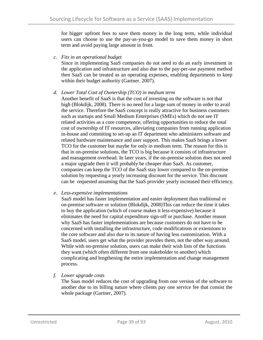for bigger upfront fees to save them money in the long term, while individual users can choose to use the pay-as-you-go model to save them money in short term and avoid paying large amount in front.

#### *c. Fits in an operational budget*

Since in implementing SaaS companies do not need to do an early investment in the application and infrastructure and also due to the pay-per-use payment method then SaaS can be treated as an operating expenses, enabling departments to keep within their budget authority (Gartner. 2007).

#### *d. Lower Total Cost of Ownership (TCO) in medium term*

Another benefit of SaaS is that the cost of investing on the software is not that high (Blokdijk, 2008). There is no need for a large sum of money in order to avail the service. Therefore the SaaS concept is really attractive for business customers such as startups and Small Medium Enterprises (SMEs) which do not see IT related activities as a core competence, offering opportunities to reduce the total cost of ownership of IT resources, alleviating companies from running application in-house and commiting to set-up an IT department who administers software and related hardware maintenance and user support. This makes SaaS brings a lower TCO for the customer but maybe for only in medium term. The reason for this is that in on-premise solutions, the TCO is big because it consists of infrastructure and management overhead. In later years, if the on-premise solution does not need a major upgrade then it will probably be cheaper than SaaS. As customer, companies can keep the TCO of the SaaS stay lower compared to the on-premise solution by requesting a yearly increasing discount for the service. This discount can be requested assuming that the SaaS provider yearly increased their efficiency.

#### *e. Less-expensive implementations*

SaaS model has faster implementation and easier deployment than traditional or on-premise software or solution (Blokdijk, 2008)This can reduce the time it takes to buy the application (which of course makes it less-expensive) because it eliminates the need for capital expenditure sign-off or purchase. Another reason why SaaS has faster implementations are because customers do not have to be concerned with installing the infrastructure, code modifications or extensions to the core software and also due to its nature of having less customization. With a SaaS model, users get what the provider provides them, not the other way around. While with on-premise solution, users can make their wish lists of the functions they want (which often different from one stakeholder to another) which complicating and lengthening the entire implementation and change management process.

*f. Lower upgrade costs*

The Saas model reduces the cost of upgrading from one version of the software to another due to its billing nature where clients pay one service fee that consist the whole package (Gartner, 2007).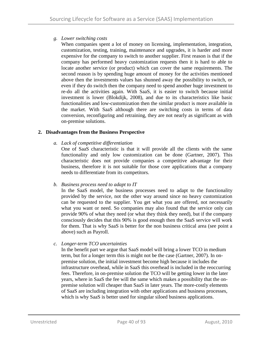### *g. Lower switching costs*

When companies spent a lot of money on licensing, implementation, integration, customization, testing, training, maintenance and upgrades, it is harder and more expensive for the company to switch to another supplier. First reason is that if the company has performed heavy customization requests then it is hard to able to locate another service (or product) which can cover the same requirements. The second reason is by spending huge amount of money for the activities mentioned above then the investments values has shunned away the possibility to switch, or even if they do switch then the company need to spend another huge investment to re-do all the activities again. With SaaS, it is easier to switch because initial investment is lower (Blokdijk, 2008), and due to its characteristics like basic functionalities and low-customization then the similar product is more available in the market. With SaaS although there are switching costs in terms of data conversion, reconfiguring and retraining, they are not nearly as significant as with on-premise solutions.

### **2. Disadvantages from the Business Perspective**

*a. Lack of competitive differentiation* 

One of SaaS characteristic is that it will provide all the clients with the same functionality and only low customization can be done (Gartner, 2007). This characteristic does not provide companies a competitive advantage for their business, therefore it is not suitable for those core applications that a company needs to differentiate from its competitors.

### *b. Business process need to adapt to IT*

In the SaaS model, the business processes need to adapt to the functionality provided by the service, not the other way around since no heavy customization can be requested to the supplier. You get what you are offered, not necessarily what you want or need. So companies may also found that the service only can provide 90% of what they need (or what they think they need), but if the company consciously decides that this 90% is good enough then the SaaS service will work for them. That is why SaaS is better for the non business critical area (see point a above) such as Payroll.

### *c. Longer-term TCO uncertainties*

In the benefit part we argue that SaaS model will bring a lower TCO in medium term, but for a longer term this is might not be the case (Gartner, 2007). In onpremise solution, the initial investment become high because it includes the infrastructure overhead, while in SaaS this overhead is included in the reoccurring fees. Therefore, in on-premise solution the TCO will be getting lower in the later years, where in SaaS the fee will the same which makes a possibility that the onpremise solution will cheaper than SaaS in later years. The more-costly elements of SaaS are including integration with other applications and business processes, which is why SaaS is better used for singular siloed business applications.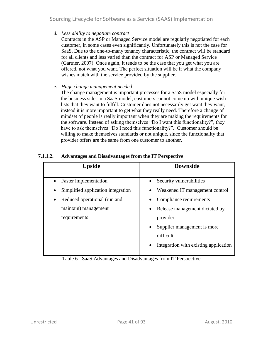### *d. Less ability to negotiate contract*

Contracts in the ASP or Managed Service model are regularly negotiated for each customer, in some cases even significantly. Unfortunately this is not the case for SaaS. Due to the one-to-many tenancy characteristic, the contract will be standard for all clients and less varied than the contract for ASP or Managed Service (Gartner, 2007). Once again, it tends to be the case that you get what you are offered, not what you want. The perfect situation will be if what the company wishes match with the service provided by the supplier.

*e. Huge change management needed*

The change management is important processes for a SaaS model especially for the business side. In a SaaS model, customers cannot come up with unique wish lists that they want to fulfill. Customer does not necessarily get want they want, instead it is more important to get what they really need. Therefore a change of mindset of people is really important when they are making the requirements for the software. Instead of asking themselves "Do I want this functionality?", they have to ask themselves "Do I need this functionality?". Customer should be willing to make themselves standards or not unique, since the functionality that provider offers are the same from one customer to another.

| <b>Upside</b>                                                                                                                                           | <b>Downside</b>                                                                                                                                                                              |  |  |  |  |
|---------------------------------------------------------------------------------------------------------------------------------------------------------|----------------------------------------------------------------------------------------------------------------------------------------------------------------------------------------------|--|--|--|--|
| <b>Faster</b> implementation<br>Simplified application integration<br>Reduced operational (run and<br>$\bullet$<br>maintain) management<br>requirements | Security vulnerabilities<br>Weakened IT management control<br>Compliance requirements<br>Release management dictated by<br>$\bullet$<br>provider<br>Supplier management is more<br>difficult |  |  |  |  |
|                                                                                                                                                         | Integration with existing application<br>$\bullet$                                                                                                                                           |  |  |  |  |

### **7.1.1.2. Advantages and Disadvantages from the IT Perspective**

Table 6 - SaaS Advantages and Disadvantages from IT Perspective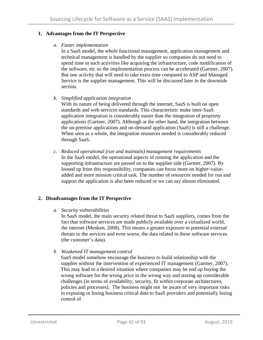### **1. Advantages from the IT Perspective**

#### *a. Faster implementation*

In a SaaS model, the whole functional management, application management and technical management is handled by the supplier so companies do not need to spend time in such activities like acquiring the infrastructure, code modification of the software, etc so the implementation process can be accelerated (Gartner, 2007). But one activity that will need to take extra time compared to ASP and Managed Service is the supplier management. This will be discussed later in the downside section.

### *b. Simplified application integration*

With its nature of being delivered through the internet, SaaS is built on open standards and web services standards. This characteristic make inter-SaaS application integration is considerably easier than the integration of propriety applications (Gartner, 2007). Although at the other hand, the integration between the on-premise applications and on-demand application (SaaS) is still a challenge. When seen as a whole, the integration resources needed is considerably reduced through SaaS.

*c. Reduced operational (run and maintain) management requirements*  In the SaaS model, the operational aspects of running the application and the supporting infrastructure are passed on to the supplier side (Gartner, 2007). By loosed up from this responsibility, companies can focus more on higher-valueadded and more mission critical task. The number of resources needed for run and support the application is also been reduced or we can say almost eliminated.

### **2. Disadvantages from the IT Perspective**

*a. Security vulnerabilities* 

In SaaS model, the main security related threat to SaaS suppliers, comes from the fact that software services are made publicly available over a virtualized world, the internet (Menken, 2008). This means a greater exposure to potential external threats to the services and even worse, the data related to these software services (the customer's data).

*b. Weakened IT management control* 

SaaS model somehow encourage the business to build relationship with the supplier without the intervention of experienced IT management (Gartner, 2007). This may lead to a desired situation where companies may be end up buying the wrong software for the wrong price in the wrong way and storing up considerable challenges (in terms of availability, security, fit within corporate architectures, policies and processes). The business might not be aware of very important risks in exposing or losing business critical data to SaaS providers and potentially losing control of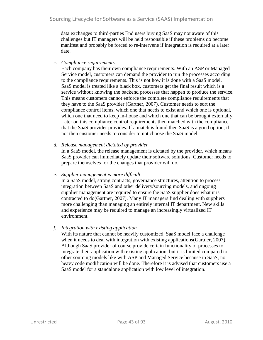data exchanges to third-parties End users buying SaaS may not aware of this challenges but IT managers will be held responsible if these problems do become manifest and probably be forced to re-intervene if integration is required at a later date.

*c. Compliance requirements*

Each company has their own compliance requirements. With an ASP or Managed Service model, customers can demand the provider to run the processes according to the compliance requirements. This is not how it is done with a SaaS model. SaaS model is treated like a black box, customers get the final result which is a service without knowing the backend processes that happen to produce the service. This means customers cannot enforce the complete compliance requirements that they have to the SaaS provider (Gartner, 2007). Customer needs to sort the compliance control items, which one that needs to exist and which one is optional, which one that need to keep in-house and which one that can be brought externally. Later on this compliance control requirements then matched with the compliance that the SaaS provider provides. If a match is found then SaaS is a good option, if not then customer needs to consider to not choose the SaaS model.

*d. Release management dictated by provider*

In a SaaS model, the release management is dictated by the provider, which means SaaS provider can immediately update their software solutions. Customer needs to prepare themselves for the changes that provider will do.

### *e. Supplier management is more difficult*

In a SaaS model, strong contracts, governance structures, attention to process integration between SaaS and other delivery/sourcing models, and ongoing supplier management are required to ensure the SaaS supplier does what it is contracted to do(Gartner, 2007). Many IT managers find dealing with suppliers more challenging than managing an entirely internal IT department. New skills and experience may be required to manage an increasingly virtualized IT environment.

### *f. Integration with existing application*

With its nature that cannot be heavily customized, SaaS model face a challenge when it needs to deal with integration with existing applications (Gartner, 2007). Although SaaS provider of course provide certain functionality of processes to integrate their application with existing application, but it is limited compared to other sourcing models like with ASP and Managed Service because in SaaS, no heavy code modification will be done. Therefore it is advised that customers use a SaaS model for a standalone application with low level of integration.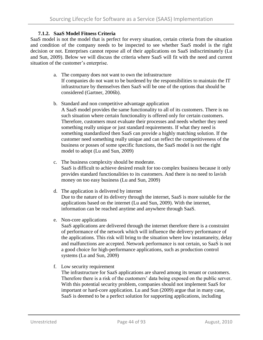### **7.1.2. SaaS Model Fitness Criteria**

SaaS model is not the model that is perfect for every situation, certain criteria from the situation and condition of the company needs to be inspected to see whether SaaS model is the right decision or not. Enterprises cannot repose all of their applications on SaaS indiscriminately (Lu and Sun, 2009). Below we will discuss the criteria where SaaS will fit with the need and current situation of the customer's enterprise.

- a. The company does not want to own the infrastructure If companies do not want to be burdened by the responsibilities to maintain the IT infrastructure by themselves then SaaS will be one of the options that should be considered (Gartner, 2006b).
- b. Standard and non competitive advantage application A SaaS model provides the same functionality to all of its customers. There is no such situation where certain functionality is offered only for certain customers. Therefore, customers must evaluate their processes and needs whether they need something really unique or just standard requirements. If what they need is something standardized then SaaS can provide a highly matching solution. If the
	- customer need something really unique and can reflect the competitiveness of the business or posses of some specific functions, the SaaS model is not the right model to adopt (Lu and Sun, 2009)
- c. The business complexity should be moderate. SaaS is difficult to achieve desired result for too complex business because it only provides standard functionalities to its customers. And there is no need to lavish money on too easy business (Lu and Sun, 2009)
- d. The application is delivered by internet Due to the nature of its delivery through the internet, SaaS is more suitable for the applications based on the internet (Lu and Sun, 2009). With the internet, information can be reached anytime and anywhere through SaaS.
- e. Non-core applications

SaaS applications are delivered through the internet therefore there is a constraint of performance of the network which will influence the delivery performance of the applications. This risk will bring to the situation where low instantaneity, delay and malfunctions are accepted. Network performance is not certain, so SaaS is not a good choice for high-performance applications, such as production control systems (Lu and Sun, 2009)

f. Low security requirement

The infrastructure for SaaS applications are shared among its tenant or customers. Therefore there is a risk of the customers' data being exposed on the public server. With this potential security problem, companies should not implement SaaS for important or hard-core application. Lu and Sun (2009) argue that in many case, SaaS is deemed to be a perfect solution for supporting applications, including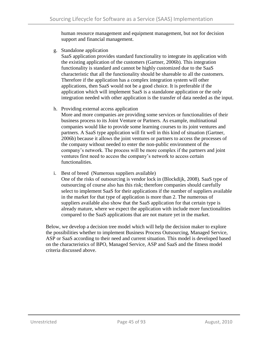human resource management and equipment management, but not for decision support and financial management.

g. Standalone application

SaaS application provides standard functionality to integrate its application with the existing application of the customers (Gartner, 2006b). This integration functionality is standard and cannot be highly customized due to the SaaS characteristic that all the functionality should be shareable to all the customers. Therefore if the application has a complex integration system will other applications, then SaaS would not be a good choice. It is preferable if the application which will implement SaaS is a standalone application or the only integration needed with other application is the transfer of data needed as the input.

h. Providing external access application

More and more companies are providing some services or functionalities of their business process to its Joint Venture or Partners. As example, multinational companies would like to provide some learning courses to its joint ventures and partners. A SaaS type application will fit well in this kind of situation (Gartner, 2006b) because it allows the joint ventures or partners to access the processes of the company without needed to enter the non-public environment of the company's network. The process will be more complex if the partners and joint ventures first need to access the company's network to access certain functionalities.

i. Best of breed (Numerous suppliers available)

One of the risks of outsourcing is vendor lock in (Blockdijk, 2008). SaaS type of outsourcing of course also has this risk; therefore companies should carefully select to implement SaaS for their applications if the number of suppliers available in the market for that type of application is more than 2. The numerous of suppliers available also show that the SaaS application for that certain type is already mature, where we expect the application with include more functionalities compared to the SaaS applications that are not mature yet in the market.

Below, we develop a decision tree model which will help the decision maker to explore the possibilities whether to implement Business Process Outsourcing, Managed Service, ASP or SaaS according to their need and current situation. This model is developed based on the characteristics of BPO, Managed Service, ASP and SaaS and the fitness model criteria discussed above.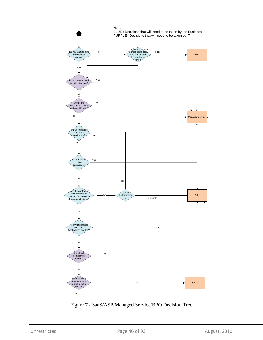

Figure 7 - SaaS/ASP/Managed Service/BPO Decision Tree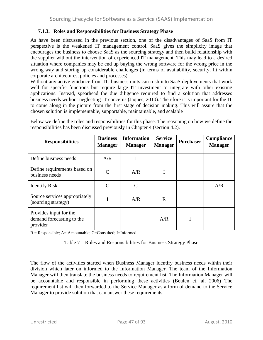### **7.1.3. Roles and Responsibilities for Business Strategy Phase**

As have been discussed in the previous section, one of the disadvantages of SaaS from IT perspective is the weakened IT management control. SaaS gives the simplicity image that encourages the business to choose SaaS as the sourcing strategy and then build relationship with the supplier without the intervention of experienced IT management. This may lead to a desired situation where companies may be end up buying the wrong software for the wrong price in the wrong way and storing up considerable challenges (in terms of availability, security, fit within corporate architectures, policies and processes).

Without any active guidance from IT, business units can rush into SaaS deployements that work well for specific functions but require large IT investment to integrate with other existing applications. Instead, spearhead the due diligence required to find a solution that addresses business needs without neglecting IT concerns (Jaques, 2010). Therefore it is important for the IT to come along in the picture from the first stage of decision making. This will assure that the chosen solution is implementable, supportable, maintainable, and scalable

Below we define the roles and responsibilities for this phase. The reasoning on how we define the responsibilities has been discussed previously in Chapter 4 (section 4.2).

| <b>Responsibilities</b>                                         | <b>Business</b><br><b>Manager</b> | <b>Information</b><br><b>Manager</b> | <b>Service</b><br><b>Manager</b> | <b>Purchaser</b> | Compliance<br><b>Manager</b> |
|-----------------------------------------------------------------|-----------------------------------|--------------------------------------|----------------------------------|------------------|------------------------------|
| Define business needs                                           | A/R                               |                                      |                                  |                  |                              |
| Define requirements based on<br>business needs                  | $\mathcal{C}_{\mathcal{C}}$       | A/R                                  |                                  |                  |                              |
| <b>Identify Risk</b>                                            | $\mathcal{C}$                     | $\mathcal{C}$                        |                                  |                  | A/R                          |
| Source services appropriately<br>(sourcing strategy)            |                                   | A/R                                  | $\mathbf R$                      |                  |                              |
| Provides input for the<br>demand forecasting to the<br>provider |                                   |                                      | A/R                              | I                |                              |

R = Responsible; A= Accountable; C=Consulted; I=Informed

| Table 7 – Roles and Responsibilities for Business Strategy Phase |  |
|------------------------------------------------------------------|--|
|------------------------------------------------------------------|--|

The flow of the activities started when Business Manager identify business needs within their division which later on informed to the Information Manager. The team of the Information Manager will then translate the business needs to requirement list. The Information Manager will be accountable and responsible in performing these activities (Beulen et. al, 2006) The requirement list will then forwarded to the Service Manager as a form of demand to the Service Manager to provide solution that can answer these requirements.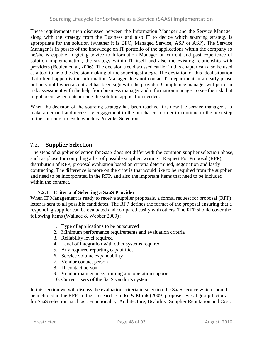These requirements then discussed between the Information Manager and the Service Manager along with the strategy from the Business and also IT to decide which sourcing strategy is appropriate for the solution (whether it is BPO, Managed Service, ASP or ASP). The Service Manager is in posses of the knowledge on IT portfolio of the applications within the company so he/she is capable in giving advice to Information Manager on current and past experience of solution implementation, the strategy within IT itself and also the existing relationship with providers (Beulen et. al, 2006). The decision tree discussed earlier in this chapter can also be used as a tool to help the decision making of the sourcing strategy. The deviation of this ideal situation that often happen is the Information Manager does not contact IT department in an early phase but only until when a contract has been sign with the provider. Compliance manager will perform risk assessment with the help from business manager and information manager to see the risk that might occur when outsourcing the solution application needed.

When the decision of the sourcing strategy has been reached it is now the service manager's to make a demand and necessary engagement to the purchaser in order to continue to the next step of the sourcing lifecycle which is Provider Selection.

# **7.2. Supplier Selection**

The steps of supplier selection for SaaS does not differ with the common supplier selection phase, such as phase for compiling a list of possible supplier, writing a Request For Proposal (RFP), distribution of RFP, proposal evaluation based on criteria determined, negotiation and lastly contracting. The difference is more on the criteria that would like to be required from the supplier and need to be incorporated in the RFP, and also the important items that need to be included within the contract.

### **7.2.1. Criteria of Selecting a SaaS Provider**

When IT Management is ready to receive supplier proposals, a formal request for proposal (RFP) letter is sent to all possible candidates. The RFP defines the format of the proposal ensuring that a responding supplier can be evaluated and compared easily with others. The RFP should cover the following items (Wallace & Webber 2009) :

- 1. Type of applications to be outsourced
- 2. Minimum performance requirements and evaluation criteria
- 3. Reliability level required
- 4. Level of integration with other systems required
- 5. Any required reporting capabilities
- 6. Service volume expandability
- 7. Vendor contact person
- 8. IT contact person
- 9. Vendor maintenance, training and operation support
- 10. Current users of the SaaS vendor's system.

In this section we will discuss the evaluation criteria in selection the SaaS service which should be included in the RFP. In their research, Godse & Mulik (2009) propose several group factors for SaaS selection, such as : Functionality, Architecture, Usability, Supplier Reputation and Cost.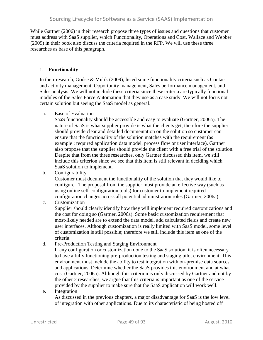While Gartner (2006) in their research propose three types of issues and questions that customer must address with SaaS supplier, which Functionality, Operations and Cost. Wallace and Webber (2009) in their book also discuss the criteria required in the RFP. We will use these three researches as base of this paragraph.

### 1. **Functionality**

In their research, Godse & Mulik (2009), listed some functionality criteria such as Contact and activity management, Opportunity management, Sales performance management, and Sales analysis. We will not include these criteria since these criteria are typically functional modules of the Sales Force Automation that they use as a case study. We will not focus not certain solution but seeing the SaaS model as general.

a. Ease of Evaluation

SaaS functionality should be accessible and easy to evaluate (Gartner, 2006a). The nature of SaaS is what supplier provide is what the clients get, therefore the supplier should provide clear and detailed documentation on the solution so customer can ensure that the functionality of the solution matches with the requirement (as example : required application data model, process flow or user interface). Gartner also propose that the supplier should provide the client with a free trial of the solution. Despite that from the three researches, only Gartner discussed this item, we still include this criterion since we see that this item is still relevant in deciding which SaaS solution to implement.

b. Configurability

Customer must document the functionality of the solution that they would like to configure. The proposal from the supplier must provide an effective way (such as using online self-configuration tools) for customer to implement required configuration changes across all potential administration roles (Gartner, 2006a)

### c. Customization

Supplier should clearly identify how they will implement required customizations and the cost for doing so (Gartner, 2006a). Some basic customization requirement that most-likely needed are to extend the data model, add calculated fields and create new user interfaces. Although customization is really limited with SaaS model, some level of customization is still possible; therefore we still include this item as one of the criteria.

d. Pre-Production Testing and Staging Environment

If any configuration or customization done to the SaaS solution, it is often necessary to have a fully functioning pre-production testing and staging pilot environment. This environment must include the ability to test integration with on-premise data sources and applications. Determine whether the SaaS provides this environment and at what cost (Gartner, 2006a). Although this criterion is only discussed by Gartner and not by the other 2 researches, we argue that this criteria is important as one of the service provided by the supplier to make sure that the SaaS application will work well.

e. Integration

As discussed in the previous chapters, a major disadvantage for SaaS is the low level of integration with other applications. Due to its characteristic of being hosted off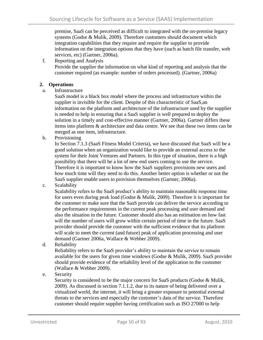premise, SaaS can be perceived as difficult to integrated with the on-premise legacy systems (Godse & Mulik, 2009). Therefore customers should document which integration capabilities that they require and require the supplier to provide information on the integration options that they have (such as batch file transfer, web services, etc) (Gartner, 2006a).

f. Reporting and Analysis

Provide the supplier the information on what kind of reporting and analysis that the customer required (as example: number of orders processed). (Gartner, 2006a)

### **2. Operations**

a. Infrastructure

SaaS model is a black box model where the process and infrastructure within the supplier is invisible for the client. Despite of this characteristic of SaaS,an information on the platform and architecture of the infrastructure used by the supplier is needed to help in ensuring that a SaaS supplier is well prepared to deploy the solution in a timely and cost-effective manner (Gartner, 2006a). Gartner differs these items into platform & architecture and data centre. We see that these two items can be merged as one item, infrastructure.

b. Provisioning

In Section 7.1.3 (SaaS Fitness Model Criteria), we have discussed that SaaS will be a good solution when an organization would like to provide an external access to the system for their Joint Ventures and Partners. In this type of situation, there is a high possibility that there will be a lot of new end users coming to use the service. Therefore it is important to know how the SaaS suppliers provisions new users and how much time will they need to do this. Another better option is whether or not the SaaS supplier enable users to provision themselves (Gartner, 2006a).

c. Scalability

Scalability refers to the SaaS product's ability to maintain reasonable response time for users even during peak load (Godse & Mulik, 2009). Therefore it is important for the customer to make sure that the SaaS provide can deliver the service according to the performance requirements in the current peak processing and user demand and also the situation in the future. Customer should also has an estimation on how fast will the number of users will grow within certain period of time in the future. SaaS provider should provide the customer with the sufficient evidence that its platform will scale to meet the current (and future) peak of application processing and user demand (Gartner 2006a, Wallace & Webber 2009).

d. Reliability

Reliability refers to the SaaS provider's ability to maintain the service to remain available for the users for given time windows (Godse & Mulik, 2009). SaaS provider should provide evidence of the reliability level of the application to the customer (Wallace & Webber 2009).

e. Security

Security is considered to be the major concern for SaaS products (Godse & Mulik, 2009). As discussed in section 7.1.1.2, due to its nature of being delivered over a virtualized world, the internet, it will bring a greater exposure to potential external threats to the services and especially the customer's data of the service. Therefore customer should require supplier having certification such as ISO 27000 to help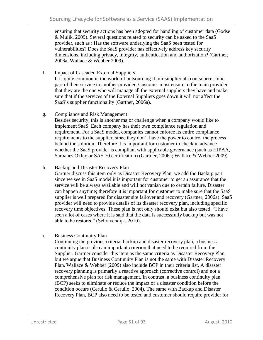ensuring that security actions has been adopted for handling of customer data (Godse & Mulik, 2009). Several questions related to security can be asked to the SaaS provider, such as : Has the software underlying the SaaS been tested for vulnerabilities? Does the SaaS provider has effectively address key security dimensions, including privacy, integrity, authentication and authorization? (Gartner, 2006a, Wallace & Webber 2009).

- f. Impact of Cascaded External Suppliers It is quite common in the world of outsourcing if our supplier also outsource some part of their service to another provider. Customer must ensure to the main provider that they are the one who will manage all the external suppliers they have and make sure that if the services of the External Suppliers goes down it will not affect the SaaS's supplier functionality (Gartner, 2006a).
- g. Compliance and Risk Management

Besides security, this is another major challenge when a company would like to implement SaaS. Each company has their own compliance regulation and requirement. For a SaaS model, companies cannot enforce its entire compliance requirements to the supplier, since they don't have the power to control the process behind the solution. Therefore it is important for customer to check in advance whether the SaaS provider is compliant with applicable governance (such as HIPAA, Sarbanes Oxley or SAS 70 certification) (Gartner, 2006a; Wallace & Webber 2009).

h. Backup and Disaster Recovery Plan

Gartner discuss this item only as Disaster Recovery Plan, we add the Backup part since we see in SaaS model it is important for customer to get an assurance that the service will be always available and will not vanish due to certain failure. Disaster can happen anytime; therefore it is important for customer to make sure that the SaaS supplier is well prepared for disaster site failover and recovery (Gartner, 2006a). SaaS provider will need to provide details of its disaster recovery plan, including specific recovery time objectives. These plan is not only should exist but also tested. "I have seen a lot of cases where it is said that the data is successfully backup but was not able to be restored" (Schravendijk, 2010).

i. Business Continuity Plan

Continuing the previous criteria, backup and disaster recovery plan, a business continuity plan is also an important criterion that need to be required from the Supplier. Gartner consider this item as the same criteria as Disaster Recovery Plan, but we argue that Business Continuity Plan is not the same with Disaster Recovery Plan. Wallace & Webber (2009) also include BCP in their criteria list. A disaster recovery planning is primarily a reactive approach (corrective control) and not a comprehensive plan for risk management. In contrast, a business continuity plan (BCP) seeks to eliminate or reduce the impact of a disaster condition before the condition occurs (Cerullo & Cerullo, 2004). The same with Backup and Disaster Recovery Plan, BCP also need to be tested and customer should require provider for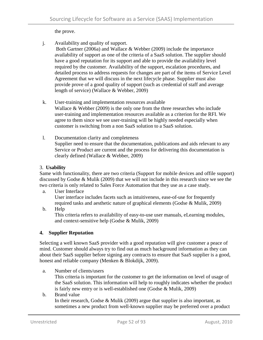the prove.

- j. Availability and quality of support.
	- Both Gartner (2006a) and Wallace & Webber (2009) include the importance availability of support as one of the criteria of a SaaS solution. The supplier should have a good reputation for its support and able to provide the availability level required by the customer. Availability of the support, escalation procedures, and detailed process to address requests for changes are part of the items of Service Level Agreement that we will discuss in the next lifecycle phase. Supplier must also provide prove of a good quality of support (such as credential of staff and average length of service) (Wallace & Webber, 2009)
- k. User-training and implementation resources available Wallace & Webber (2009) is the only one from the three researches who include user-training and implementation resources available as a criterion for the RFI. We agree to them since we see user-training will be highly needed especially when customer is switching from a non SaaS solution to a SaaS solution.
- l. Documentation clarity and completeness Supplier need to ensure that the documentation, publications and aids relevant to any Service or Product are current and the process for delivering this documentation is clearly defined (Wallace & Webber, 2009)

### 3. **Usability**

Same with functionality, there are two criteria (Support for mobile devices and offile support) discussed by Godse & Mulik (2009) that we will not include in this research since we see the two criteria is only related to Sales Force Automation that they use as a case study.

- a. User Interface User interface includes facets such as intuitiveness, ease-of-use for frequently required tasks and aesthetic nature of graphical elements (Godse & Mulik, 2009)
- b. Help

This criteria refers to availability of easy-to-use user manuals, eLearning modules, and context-sensitive help (Godse & Mulik, 2009)

### **4. Supplier Reputation**

Selecting a well known SaaS provider with a good reputation will give customer a peace of mind. Customer should always try to find out as much background information as they can about their SaaS supplier before signing any contracts to ensure that SaaS supplier is a good, honest and reliable company (Menken & Blokdijk, 2009).

a. Number of clients/users

This criteria is important for the customer to get the information on level of usage of the SaaS solution. This information will help to roughly indicates whether the product is fairly new entry or is well-established one (Godse & Mulik, 2009)

b. Brand value In their research, Godse & Mulik (2009) argue that supplier is also important, as sometimes a new product from well-known supplier may be preferred over a product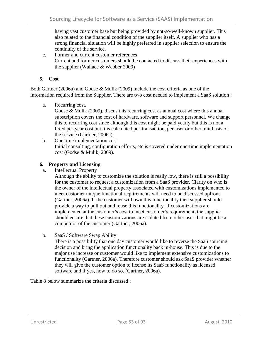having vast customer base but being provided by not-so-well-known supplier. This also related to the financial condition of the supplier itself. A supplier who has a strong financial situation will be highly preferred in supplier selection to ensure the continuity of the service.

c. Former and current customer references Current and former customers should be contacted to discuss their experiences with the supplier (Wallace & Webber 2009)

### **5. Cost**

Both Gartner (2006a) and Godse & Mulik (2009) include the cost criteria as one of the information required from the Supplier. There are two cost needed to implement a SaaS solution :

a. Recurring cost.

Godse & Mulik (2009), discus this recurring cost as annual cost where this annual subscription covers the cost of hardware, software and support personnel. We change this to recurring cost since although this cost might be paid yearly but this is not a fixed per-year cost but it is calculated per-transaction, per-user or other unit basis of the service (Gartner, 2006a).

b. One time implementation cost Initial consulting, configuration efforts, etc is covered under one-time implementation cost (Godse & Mulik, 2009).

### **6. Property and Licensing**

a. Intellectual Property

Although the ability to customize the solution is really low, there is still a possibility for the customer to request a customization from a SaaS provider. Clarity on who is the owner of the intellectual property associated with customizations implemented to meet customer unique functional requirements will need to be discussed upfront (Gartner, 2006a). If the customer will own this functionality then supplier should provide a way to pull out and reuse this functionality. If customizations are implemented at the customer's cost to meet customer's requirement, the supplier should ensure that these customizations are isolated from other user that might be a competitor of the customer (Gartner, 2006a).

b. SaaS / Software Swap Ability

There is a possibility that one day customer would like to reverse the SaaS sourcing decision and bring the application functionality back in-house. This is due to the major use increase or customer would like to implement extensive customizations to functionality (Gartner, 2006a). Therefore customer should ask SaaS provider whether they will give the customer option to license its SaaS functionality as licensed software and if yes, how to do so. (Gartner, 2006a).

Table 8 below summarize the criteria discussed :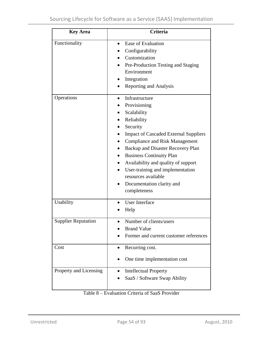| <b>Key Area</b>            | <b>Criteria</b>                                                                                                                                                                                                                                                                                                                                                                          |
|----------------------------|------------------------------------------------------------------------------------------------------------------------------------------------------------------------------------------------------------------------------------------------------------------------------------------------------------------------------------------------------------------------------------------|
| Functionality              | Ease of Evaluation<br>$\bullet$<br>Configurability<br>Customization<br>Pre-Production Testing and Staging<br>Environment<br>Integration<br>Reporting and Analysis                                                                                                                                                                                                                        |
| Operations                 | Infrastructure<br>Provisioning<br>Scalability<br>Reliability<br>Security<br><b>Impact of Cascaded External Suppliers</b><br><b>Compliance and Risk Management</b><br>Backup and Disaster Recovery Plan<br><b>Business Continuity Plan</b><br>Availability and quality of support<br>User-training and implementation<br>resources available<br>Documentation clarity and<br>completeness |
| Usability                  | <b>User Interface</b><br>Help                                                                                                                                                                                                                                                                                                                                                            |
| <b>Supplier Reputation</b> | Number of clients/users<br><b>Brand Value</b><br>Former and current customer references                                                                                                                                                                                                                                                                                                  |
| Cost                       | Recurring cost.<br>One time implementation cost                                                                                                                                                                                                                                                                                                                                          |
| Property and Licensing     | <b>Intellectual Property</b><br>SaaS / Software Swap Ability                                                                                                                                                                                                                                                                                                                             |

# Table 8 – Evaluation Criteria of SaaS Provider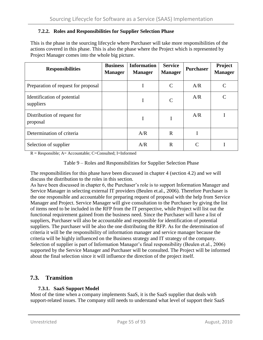### **7.2.2. Roles and Responsibilities for Supplier Selection Phase**

This is the phase in the sourcing lifecycle where Purchaser will take more responsibilities of the actions covered in this phase. This is also the phase where the Project which is represented by Project Manager comes into the whole big picture.

| <b>Responsibilities</b>                  | <b>Business</b><br><b>Manager</b> | <b>Information</b><br><b>Manager</b> | <b>Service</b><br><b>Manager</b> | <b>Purchaser</b> | <b>Project</b><br><b>Manager</b> |
|------------------------------------------|-----------------------------------|--------------------------------------|----------------------------------|------------------|----------------------------------|
| Preparation of request for proposal      |                                   |                                      | C                                | A/R              | $\subset$                        |
| Identification of potential<br>suppliers |                                   |                                      | $\mathsf{C}$                     | A/R              | C                                |
| Distribution of request for<br>proposal  |                                   | I                                    | I                                | A/R              |                                  |
| Determination of criteria                |                                   | A/R                                  | R                                | 1                |                                  |
| Selection of supplier                    |                                   | A/R                                  | R                                | C                |                                  |

R = Responsible; A= Accountable; C=Consulted; I=Informed

#### Table 9 – Roles and Responsibilities for Supplier Selection Phase

The responsibilities for this phase have been discussed in chapter 4 (section 4.2) and we will discuss the distribution to the roles in this section.

As have been discussed in chapter 6, the Purchaser's role is to support Information Manager and Service Manager in selecting external IT providers (Beulen et.al., 2006). Therefore Purchaser is the one responsible and accountable for preparing request of proposal with the help from Service Manager and Project. Service Manager will give consultation to the Purchaser by giving the list of items need to be included in the RFP from the IT perspective, while Project will list out the functional requirement gained from the business need. Since the Purchaser will have a list of suppliers, Purchaser will also be accountable and responsible for identification of potential suppliers. The purchaser will be also the one distributing the RFP. As for the determination of criteria it will be the responsibility of information manager and service manager because the criteria will be highly influenced on the Business strategy and IT strategy of the company. Selection of supplier is part of Information Manager's final responsibility (Beulen et.al., 2006) supported by the Service Manager and Purchaser will be consulted. The Project will be informed about the final selection since it will influence the direction of the project itself.

### **7.3. Transition**

### **7.3.1. SaaS Support Model**

Most of the time when a company implements SaaS, it is the SaaS supplier that deals with support-related issues. The company still needs to understand what level of support their SaaS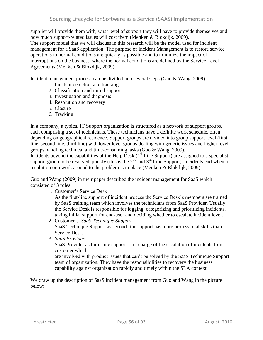supplier will provide them with, what level of support they will have to provide themselves and how much support-related issues will cost them (Menken & Blokdijk, 2009). The support model that we will discuss in this research will be the model used for incident management for a SaaS application. The purpose of Incident Management is to restore service operations to normal conditions are quickly as possible and to minimize the impact of interruptions on the business, where the normal conditions are defined by the Service Level Agreements (Menken & Blokdijk, 2009)

Incident management process can be divided into several steps (Guo & Wang, 2009):

- 1. Incident detection and tracking
- 2. Classification and initial support
- 3. Investigation and diagnosis
- 4. Resolution and recovery
- 5. Closure
- 6. Tracking

In a company, a typical IT Support organization is structured as a network of support groups, each comprising a set of technicians. These technicians have a definite work schedule, often depending on geographical residence. Support groups are divided into group support level (first line, second line, third line) with lower level groups dealing with generic issues and higher level groups handling technical and time-consuming tasks (Guo & Wang, 2009).

Incidents beyond the capabilities of the Help Desk (1<sup>st</sup> Line Support) are assigned to a specialist support group to be resolved quickly (this is the  $2<sup>nd</sup>$  and  $3<sup>rd</sup>$  Line Support). Incidents end when a resolution or a work around to the problem is in place (Menken & Blokdijk, 2009)

Guo and Wang (2009) in their paper described the incident management for SaaS which consisted of 3 roles:

1. Customer's Service Desk

As the first-line support of incident process the Service Desk's members are trained by SaaS training team which involves the technicians from SaaS Provider. Usually the Service Desk is responsible for logging, categorizing and prioritizing incidents, taking initial support for end-user and deciding whether to escalate incident level.

- 2. Customer's *SaaS Technique Support* SaaS Technique Support as second-line support has more professional skills than Service Desk.
- 3. *SaaS Provider*

SaaS Provider as third-line support is in charge of the escalation of incidents from customer which

are involved with product issues that can't be solved by the SaaS Technique Support team of organization. They have the responsibilities to recovery the business capability against organization rapidly and timely within the SLA context.

We draw up the description of SaaS incident management from Guo and Wang in the picture below: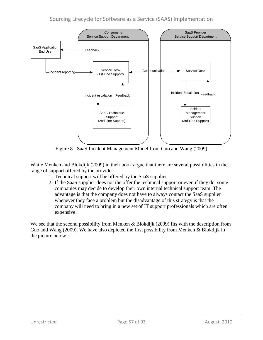

Figure 8 - SaaS Incident Management Model from Guo and Wang (2009)

While Menken and Blokdijk (2009) in their book argue that there are several possibilities in the range of support offered by the provider :

- 1. Technical support will be offered by the SaaS supplier
- 2. If the SaaS supplier does not the offer the technical support or even if they do, some companies may decide to develop their own internal technical support team. The advantage is that the company does not have to always contact the SaaS supplier whenever they face a problem but the disadvantage of this strategy is that the company will need to bring in a new set of IT support professionals which are often expensive.

We see that the second possibility from Menken & Blokdijk (2009) fits with the description from Guo and Wang (2009). We have also depicted the first possibility from Menken & Blokdijk in the picture below :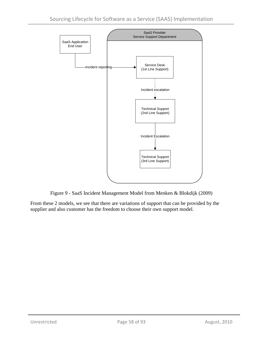

Figure 9 - SaaS Incident Management Model from Menken & Blokdijk (2009)

From these 2 models, we see that there are variations of support that can be provided by the supplier and also customer has the freedom to choose their own support model.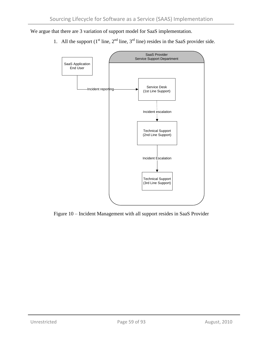We argue that there are 3 variation of support model for SaaS implementation.

1. All the support  $(1<sup>st</sup> line, 2<sup>nd</sup> line, 3<sup>rd</sup> line)$  resides in the SaaS provider side.



Figure 10 – Incident Management with all support resides in SaaS Provider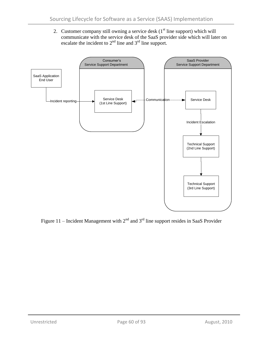2. Customer company still owning a service desk  $(1<sup>st</sup>$  line support) which will communicate with the service desk of the SaaS provider side which will later on escalate the incident to  $2<sup>nd</sup>$  line and  $3<sup>rd</sup>$  line support.



Figure 11 – Incident Management with  $2<sup>nd</sup>$  and  $3<sup>rd</sup>$  line support resides in SaaS Provider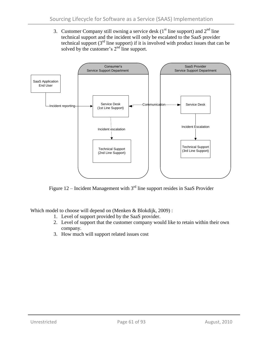3. Customer Company still owning a service desk  $(1<sup>st</sup>$  line support) and  $2<sup>nd</sup>$  line technical support and the incident will only be escalated to the SaaS provider technical support  $(3<sup>rd</sup>$  line support) if it is involved with product issues that can be solved by the customer's  $2<sup>nd</sup>$  line support.



Figure  $12$  – Incident Management with  $3<sup>rd</sup>$  line support resides in SaaS Provider

Which model to choose will depend on (Menken & Blokdijk, 2009) :

- 1. Level of support provided by the SaaS provider.
- 2. Level of support that the customer company would like to retain within their own company.
- 3. How much will support related issues cost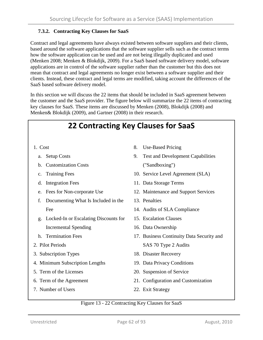### **7.3.2. Contracting Key Clauses for SaaS**

Contract and legal agreements have always existed between software suppliers and their clients, based around the software applications that the software supplier sells such as the contract terms how the software application can be used and are not being illegally duplicated and used (Menken 2008; Menken & Blokdijk, 2009). For a SaaS based software delivery model, software applications are in control of the software supplier rather than the customer but this does not mean that contract and legal agreements no longer exist between a software supplier and their clients. Instead, these contract and legal terms are modified, taking account the differences of the SaaS based software delivery model.

In this section we will discuss the 22 items that should be included in SaaS agreement between the customer and the SaaS provider. The figure below will summarize the 22 items of contracting key clauses for SaaS. These items are discussed by Menken (2008), Blokdijk (2008) and Menken& Blokdijk (2009), and Gartner (2008) in their research.

#### **22 Contracting Key Clauses for SaaS** 1. Cost a. Setup Costs b. Customization Costs c. Training Fees d. Integration Fees e. Fees for Non-corporate Use f. Documenting What Is Included in the Fee g. Locked-In or Escalating Discounts for Incremental Spending h. Termination Fees 2. Pilot Periods 3. Subscription Types 4. Minimum Subscription Lengths 5. Term of the Licenses 6. Term of the Agreement 8. Use-Based Pricing 9. Test and Development Capabilities ("Sandboxing") 10. Service Level Agreement (SLA) 11. Data Storage Terms 12. Maintenance and Support Services 13. Penalties 14. Audits of SLA Compliance 15. Escalation Clauses 16. Data Ownership 17. Business Continuity Data Security and SAS 70 Type 2 Audits 18. Disaster Recovery 19. Data Privacy Conditions 20. Suspension of Service 21. Configuration and Customization

### Figure 13 - 22 Contracting Key Clauses for SaaS

22. Exit Strategy

7. Number of Users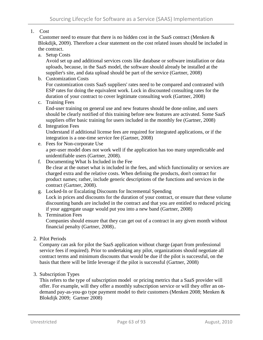### 1. Cost

Customer need to ensure that there is no hidden cost in the SaaS contract (Menken  $\&$ Blokdijk, 2009). Therefore a clear statement on the cost related issues should be included in the contract.

a. Setup Costs

Avoid set up and additional services costs like database or software installation or data uploads, because, in the SaaS model, the software should already be installed at the supplier's site, and data upload should be part of the service (Gartner, 2008)

b. Customization Costs

For customization costs SaaS suppliers' rates need to be compared and contrasted with ESP rates for doing the equivalent work. Lock in discounted consulting rates for the duration of your contract to cover legitimate consulting work (Gartner, 2008)

c. Training Fees

End-user training on general use and new features should be done online, and users should be clearly notified of this training before new features are activated. Some SaaS suppliers offer basic training for users included in the monthly fee (Gartner, 2008)

- d. Integration Fees Understand if additional license fees are required for integrated applications, or if the integration is a one-time service fee (Gartner, 2008)
- e. Fees for Non-corporate Use a per-user model does not work well if the application has too many unpredictable and unidentifiable users (Gartner, 2008).
- f. Documenting What Is Included in the Fee Be clear at the outset what is included in the fees, and which functionality or services are charged extra and the relative costs. When defining the products, don't contract for product names; rather, include generic descriptions of the functions and services in the contract (Gartner, 2008).
- g. Locked-In or Escalating Discounts for Incremental Spending Lock in prices and discounts for the duration of your contract, or ensure that these volume discounting bands are included in the contract and that you are entitled to reduced pricing if your aggregate usage would put you into a new band (Gartner, 2008)
- h. Termination Fees

Companies should ensure that they can get out of a contract in any given month without financial penalty (Gartner, 2008)..

2. Pilot Periods

Company can ask for pilot the SaaS application without charge (apart from professional service fees if required). Prior to undertaking any pilot, organizations should negotiate all contract terms and minimum discounts that would be due if the pilot is successful, on the basis that there will be little leverage if the pilot is successful (Gartner, 2008)

3. Subscription Types

This refers to the type of subscription model or pricing metrics that a SaaS provider will offer. For example, will they offer a monthly subscription service or will they offer an ondemand pay-as-you-go type payment model to their customers (Menken 2008; Menken & Blokdijk 2009; Gartner 2008)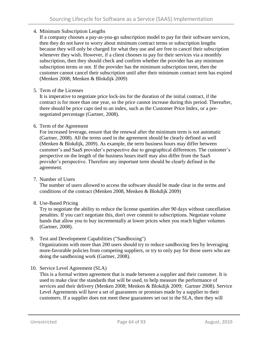### 4. Minimum Subscription Lengths

If a company chooses a pay-as-you-go subscription model to pay for their software services, then they do not have to worry about minimum contract terms or subscription lengths because they will only be charged for what they use and are free to cancel their subscription whenever they wish. However, if a client chooses to pay for their services via a monthly subscription, then they should check and confirm whether the provider has any minimum subscription terms or not. If the provider has the minimum subscription term, then the customer cannot cancel their subscription until after their minimum contract term has expired (Menken 2008; Menken & Blokdijk 2009)

### 5. Term of the Licenses

It is imperative to negotiate price lock-ins for the duration of the initial contract, if the contract is for more than one year, so the price cannot increase during this period. Thereafter, there should be price caps tied to an index, such as the Customer Price Index, or a prenegotiated percentage (Gartner, 2008).

#### 6. Term of the Agreement

For increased leverage, ensure that the renewal after the minimum term is not automatic (Gartner, 2008). All the terms used in the agreement should be clearly defined as well (Menken & Blokdijk, 2009). As example, the term business hours may differ between customer's and SaaS provider's perspective due to geographical differences. The customer's perspective on the length of the business hours itself may also differ from the SaaS provider's perspective. Therefore any important term should be clearly defined in the agreement.

7. Number of Users

The number of users allowed to access the software should be made clear in the terms and conditions of the contract (Menken 2008, Menken & Blokdijk 2009)

8. Use-Based Pricing

Try to negotiate the ability to reduce the license quantities after 90 days without cancellation penalties. If you can't negotiate this, don't over commit to subscriptions. Negotiate volume bands that allow you to buy incrementally at lower prices when you reach higher volumes (Gartner, 2008).

- 9. Test and Development Capabilities ("Sandboxing") Organizations with more than 200 users should try to reduce sandboxing fees by leveraging more-favorable policies from competing suppliers, or try to only pay for those users who are doing the sandboxing work (Gartner, 2008).
- 10. Service Level Agreement (SLA)

This is a formal written agreement that is made between a supplier and their customer. It is used to make clear the standards that will be used, to help measure the performance of services and their delivery (Menken 2008; Menken & Blokdijk 2009; Gartner 2008). Service Level Agreements will have a set of guarantees or promises made by a supplier to their customers. If a supplier does not meet these guarantees set out in the SLA, then they will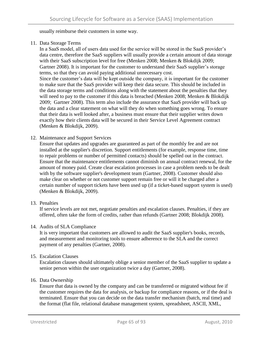usually reimburse their customers in some way.

11. Data Storage Terms

In a SaaS model, all of users data used for the service will be stored in the SaaS provider's data centre, therefore the SaaS suppliers will usually provide a certain amount of data storage with their SaaS subscription level for free (Menken 2008; Menken & Blokdijk 2009; Gartner 2008). It is important for the customer to understand their SaaS supplier's storage terms, so that they can avoid paying additional unnecessary cost. Since the customer's data will be kept outside the company, it is important for the customer to make sure that the SaaS provider will keep their data secure. This should be included in

the data storage terms and conditions along with the statement about the penalties that they will need to pay to the customer if this data is breached (Menken 2008; Menken & Blokdijk 2009; Gartner 2008). This term also include the assurance that SaaS provider will back up the data and a clear statement on what will they do when something goes wrong. To ensure that their data is well looked after, a business must ensure that their supplier writes down exactly how their clients data will be secured in their Service Level Agreement contract (Menken & Blokdijk, 2009).

12. Maintenance and Support Services

Ensure that updates and upgrades are guaranteed as part of the monthly fee and are not installed at the supplier's discretion. Support entitlements (for example, response time, time to repair problems or number of permitted contacts) should be spelled out in the contract. Ensure that the maintenance entitlements cannot diminish on annual contract renewal, for the amount of money paid. Create clear escalation processes in case a problem needs to be dealt with by the software supplier's development team (Gartner, 2008). Customer should also make clear on whether or not customer support remain free or will it be charged after a certain number of support tickets have been used up (if a ticket-based support system is used) (Menken & Blokdijk, 2009).

13. Penalties

If service levels are not met, negotiate penalties and escalation clauses. Penalties, if they are offered, often take the form of credits, rather than refunds (Gartner 2008; Blokdijk 2008).

### 14. Audits of SLA Compliance

It is very important that customers are allowed to audit the SaaS supplier's books, records, and measurement and monitoring tools to ensure adherence to the SLA and the correct payment of any penalties (Gartner, 2008).

15. Escalation Clauses

Escalation clauses should ultimately oblige a senior member of the SaaS supplier to update a senior person within the user organization twice a day (Gartner, 2008).

### 16. Data Ownership

Ensure that data is owned by the company and can be transferred or migrated without fee if the customer requires the data for analysis, or backup for compliance reasons, or if the deal is terminated. Ensure that you can decide on the data transfer mechanism (batch, real time) and the format (flat file, relational database management system, spreadsheet, ASCII, XML,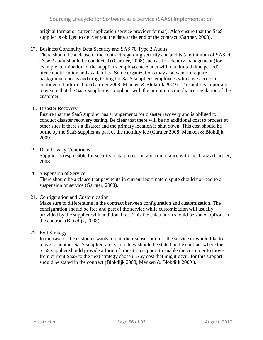original format or current application service provider format). Also ensure that the SaaS supplier is obliged to deliver you the data at the end of the contract (Gartner, 2008).

17. Business Continuity Data Security and SAS 70 Type 2 Audits

There should be a clause in the contract regarding security and audits (a minimum of SAS 70 Type 2 audit should be conducted) (Gartner, 2008) such as for identity management (for example, termination of the supplier's employee accounts within a limited time period), breach notification and availability. Some organizations may also want to require background checks and drug testing for SaaS supplier's employees who have access to confidential information (Gartner 2008; Menken & Blokdijk 2009). The audit is important to ensure that the SaaS supplier is compliant with the minimum compliance regulation of the customer.

### 18. Disaster Recovery

Ensure that the SaaS supplier has arrangements for disaster recovery and is obliged to conduct disaster recovery testing. Be clear that there will be no additional cost to process at other sites if there's a disaster and the primary location is shut down. This cost should be borne by the SaaS supplier as part of the monthly fee (Gartner 2008; Menken & Blokdijk 2009).

19. Data Privacy Conditions

Supplier is responsible for security, data protection and compliance with local laws (Gartner, 2008).

20. Suspension of Service

There should be a clause that payments in current legitimate dispute should not lead to a suspension of service (Gartner, 2008).

### 21. Configuration and Customization

Make sure to differentiate in the contract between configuration and customization. The configuration should be free and part of the service while customization will usually provided by the supplier with additional fee. This fee calculation should be stated upfront in the contract (Blokdijk, 2008).

### 22. Exit Strategy

In the case of the customer wants to quit their subscription to the service or would like to move to another SaaS supplier, an exit strategy should be stated in the contract where the SaaS supplier should provide a form of transition support to enable the customer to move from current SaaS to the next strategy chosen. Any cost that might occur for this support should be stated in the contract (Blokdijk 2008; Menken & Blokdijk 2009 ).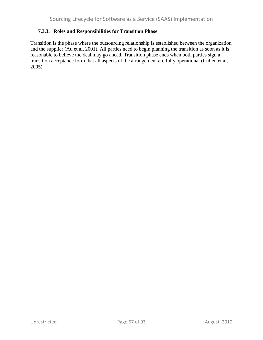## **7.3.3. Roles and Responsibilities for Transition Phase**

Transition is the phase where the outsourcing relationship is established between the organization and the supplier (Au et al, 2001). All parties need to begin planning the transition as soon as it is reasonable to believe the deal may go ahead. Transition phase ends when both parties sign a transition acceptance form that all aspects of the arrangement are fully operational (Cullen et al, 2005).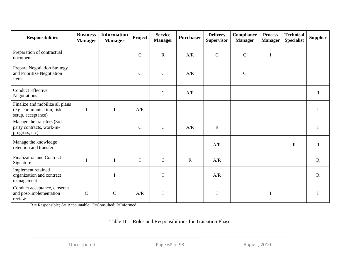| <b>Responsibilities</b>                                                             | <b>Business</b><br><b>Manager</b> | <b>Information</b><br><b>Manager</b> | Project     | <b>Service</b><br><b>Manager</b> | <b>Purchaser</b> | <b>Delivery</b><br><b>Supervisor</b> | Compliance<br><b>Manager</b> | <b>Process</b><br><b>Manager</b> | <b>Technical</b><br><b>Specialist</b> | <b>Supplier</b> |
|-------------------------------------------------------------------------------------|-----------------------------------|--------------------------------------|-------------|----------------------------------|------------------|--------------------------------------|------------------------------|----------------------------------|---------------------------------------|-----------------|
| Preparation of contractual<br>documents.                                            |                                   |                                      | $\mathbf C$ | $\mathbf R$                      | A/R              | $\mathbf C$                          | $\mathbf C$                  |                                  |                                       |                 |
| <b>Prepare Negotiation Strategy</b><br>and Prioritize Negotiation<br>Items          |                                   |                                      | $\mathbf C$ | $\mathbf C$                      | A/R              |                                      | $\mathbf C$                  |                                  |                                       |                 |
| <b>Conduct Effective</b><br>Negotiations                                            |                                   |                                      |             | $\mathbf C$                      | A/R              |                                      |                              |                                  |                                       | $\mathbf R$     |
| Finalize and mobilize all plans<br>(e.g. communication, risk,<br>setup, acceptance) | $\mathbf I$                       | T                                    | A/R         | $\mathbf I$                      |                  |                                      |                              |                                  |                                       |                 |
| Manage the transfers (3rd<br>party contracts, work-in-<br>progress, etc)            |                                   |                                      | $\mathbf C$ | $\mathbf C$                      | A/R              | $\mathbf R$                          |                              |                                  |                                       |                 |
| Manage the knowledge<br>retention and transfer                                      |                                   |                                      |             | $\bf{I}$                         |                  | A/R                                  |                              |                                  | $\mathbf R$                           | $\mathbf R$     |
| <b>Finalization and Contract</b><br>Signature                                       | $\mathbf I$                       | I                                    | I           | $\mathbf C$                      | $\mathbf R$      | A/R                                  |                              |                                  |                                       | $\mathbf R$     |
| Implement retained<br>organization and contract<br>management                       |                                   | I                                    |             | I                                |                  | A/R                                  |                              |                                  |                                       | $\mathbf R$     |
| Conduct acceptance, closeout<br>and post-implementation<br>review                   | $\mathsf{C}$                      | $\mathbf C$                          | A/R         | $\mathbf I$                      |                  |                                      |                              |                                  |                                       |                 |

R = Responsible; A= Accountable; C=Consulted; I=Informed

# Table 10 – Roles and Responsibilities for Transition Phase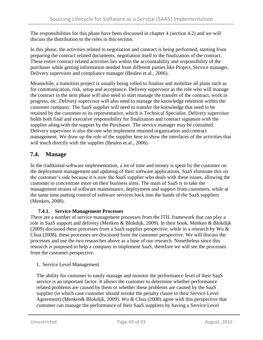The responsibilities for this phase have been discussed in chapter 4 (section 4.2) and we will discuss the distribution to the roles in this section.

In this phase, the activities related to negotiation and contract is being performed, starting from preparing the contract related documents, negotiation itself to the finalization of the contract. These entire contract related activities lies within the accountability and responsibility of the purchaser while getting information needed from different parties like Project, Service manager, Delivery supervisor and compliance manager (Beulen et.al., 2006).

Meanwhile, a transition project is usually being rolled to finalize and mobilize all plans such as for communication, risk, setup and acceptance. Delivery supervisor as the role who will manage the contract in the next phase will also need to start manage the transfer of the contract, work in progress, etc. Delivery supervisor will also need to manage the knowledge retention within the customer company. The SaaS supplier will need to transfer the knowledge that need to be retained by the customer to its representative, which is Technical Specialist. Delivery supervisor holds both final and executive responsibility for finalization and contract signature with the supplier along with the support by the Purchaser. The service manager may be consulted. Delivery supervisor is also the one who implement retained organization and contract management. We draw up the role of the supplier here to show the interfaces of the activities that will touch directly with the supplier (Beulen et.al., 2006).

# **7.4. Manage**

In the traditional software implementation, a lot of time and money is spent by the customer on the deployment management and updating of their software applications. SaaS eliminate this on the customer's side because it is now the SaaS supplier who deals with these issues, allowing the customer to concentrate more on their business aims. The main of SaaS is to take the management strains of software maintenance, deployment and support from customers, while at the same time putting control of software services back into the hands of the SaaS suppliers (Menken, 2008).

### **7.4.1. Service Management Processes**

There are a number of service management processes from the ITIL framework that can play a role in SaaS support and delivery (Menken & Blokdijk, 2009). In their book, Menken & Blokdijk (2009) discussed these processes from a SaaS supplier perspective; while in a research by Wu & Chua (2008), these processes are discussed from the customer perspective. We will discuss the processes and use the two researches above as a base of our research. Nonetheless since this research is purposed to help a company to implement SaaS, therefore we will see the processes from the customer perspective.

### 1. Service Level Management

The ability for customer to easily manage and monitor the performance level of their SaaS service is an important factor. It allows the customer to determine whether performance related problems are caused by them or whether these problems are caused by the SaaS supplier (in which case customer should invoke the penalty clause in their Service Level Agreement) (Menken& Blokdijk, 2009). Wu & Chua (2008) agree with this perspective that customer can manage the performance of their SaaS suppliers by having a Service Level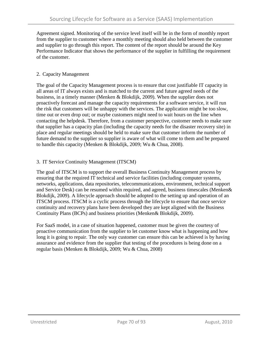Agreement signed. Monitoring of the service level itself will be in the form of monthly report from the supplier to customer where a monthly meeting should also held between the customer and supplier to go through this report. The content of the report should be around the Key Performance Indicator that shows the performance of the supplier in fulfilling the requirement of the customer.

### 2. Capacity Management

The goal of the Capacity Management process is to ensure that cost justifiable IT capacity in all areas of IT always exists and is matched to the current and future agreed needs of the business, in a timely manner (Menken & Blokdijk, 2009). When the supplier does not proactively forecast and manage the capacity requirements for a software service, it will run the risk that customers will be unhappy with the services. The application might be too slow, time out or even drop out; or maybe customers might need to wait hours on the line when contacting the helpdesk. Therefore, from a customer perspective, customer needs to make sure that supplier has a capacity plan (including the capacity needs for the disaster recovery site) in place and regular meetings should be held to make sure that customer inform the number of future demand to the supplier so supplier is aware of what will come to them and be prepared to handle this capacity (Menken & Blokdijk, 2009; Wu & Chua, 2008).

### 3. IT Service Continuity Management (ITSCM)

The goal of ITSCM is to support the overall Business Continuity Management process by ensuring that the required IT technical and service facilities (including computer systems, networks, applications, data repositories, telecommunications, environment, technical support and Service Desk) can be resumed within required, and agreed, business timescales (Menken& Blokdijk, 2009). A lifecycle approach should be adopted to the setting up and operation of an ITSCM process. ITSCM is a cyclic process through the lifecycle to ensure that once service continuity and recovery plans have been developed they are kept aligned with the Business Continuity Plans (BCPs) and business priorities (Menken& Blokdijk, 2009).

For SaaS model, in a case of situation happened, customer must be given the courtesy of proactive communication from the supplier to let customer know what is happening and how long it is going to repair. The only way customer can ensure this can be achieved is by having assurance and evidence from the supplier that testing of the procedures is being done on a regular basis (Menken & Blokdijk, 2009; Wu & Chua, 2008)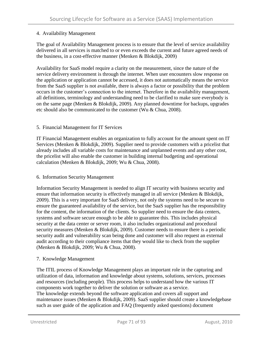### 4. Availability Management

The goal of Availability Management process is to ensure that the level of service availability delivered in all services is matched to or even exceeds the current and future agreed needs of the business, in a cost-effective manner (Menken & Blokdijk, 2009)

Availability for SaaS model require a clarity on the measurement, since the nature of the service delivery environment is through the internet. When user encounters slow response on the application or application cannot be accessed, it does not automatically means the service from the SaaS supplier is not available, there is always a factor or possibility that the problem occurs in the customer's connection to the internet. Therefore in the availability management, all definitions, terminology and understanding need to be clarified to make sure everybody is on the same page (Menken & Blokdijk, 2009). Any planned downtime for backups, upgrades etc should also be communicated to the customer (Wu & Chua, 2008).

#### 5. Financial Management for IT Services

IT Financial Management enables an organization to fully account for the amount spent on IT Services (Menken & Blokdijk, 2009). Supplier need to provide customers with a pricelist that already includes all variable costs for maintenance and unplanned events and any other cost, the pricelist will also enable the customer in building internal budgeting and operational calculation (Menken & Blokdijk, 2009; Wu & Chua, 2008).

#### 6. Information Security Management

Information Security Management is needed to align IT security with business security and ensure that information security is effectively managed in all service (Menken & Blokdijk, 2009). This is a very important for SaaS delivery, not only the systems need to be secure to ensure the guaranteed availability of the service, but the SaaS supplier has the responsibility for the content, the information of the clients. So supplier need to ensure the data centers, systems and software secure enough to be able to guarantee this. This includes physical security at the data center or server room, it also includes organizational and procedural security measures (Menken & Blokdijk, 2009). Customer needs to ensure there is a periodic security audit and vulnerability scan being done and customer will also request an external audit according to their compliance items that they would like to check from the supplier (Menken & Blokdijk, 2009; Wu & Chua, 2008).

#### 7. Knowledge Management

The ITIL process of Knowledge Management plays an important role in the capturing and utilization of data, information and knowledge about systems, solutions, services, processes and resources (including people). This process helps to understand how the various IT components work together to deliver the solution or software as a service. The knowledge extends beyond the software application and covers all support and maintenance issues (Menken & Blokdijk, 2009). SaaS supplier should create a knowledgebase such as user guide of the application and FAQ (frequently asked questions) document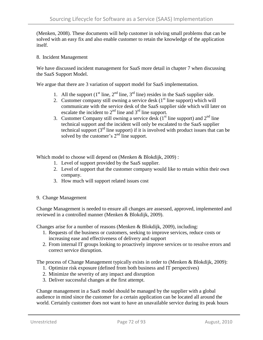(Menken, 2008). These documents will help customer in solving small problems that can be solved with an easy fix and also enable customer to retain the knowledge of the application itself.

### 8. Incident Management

We have discussed incident management for SaaS more detail in chapter 7 when discussing the SaaS Support Model.

We argue that there are 3 variation of support model for SaaS implementation.

- 1. All the support  $(1<sup>st</sup> line, 2<sup>nd</sup> line, 3<sup>rd</sup> line)$  resides in the SaaS supplier side.
- 2. Customer company still owning a service desk  $(1<sup>st</sup>$  line support) which will communicate with the service desk of the SaaS supplier side which will later on escalate the incident to  $2<sup>nd</sup>$  line and  $3<sup>rd</sup>$  line support.
- 3. Customer Company still owning a service desk  $(1<sup>st</sup>$  line support) and  $2<sup>nd</sup>$  line technical support and the incident will only be escalated to the SaaS supplier technical support  $3<sup>rd</sup>$  line support) if it is involved with product issues that can be solved by the customer's  $2<sup>nd</sup>$  line support.

Which model to choose will depend on (Menken & Blokdijk, 2009) :

- 1. Level of support provided by the SaaS supplier.
- 2. Level of support that the customer company would like to retain within their own company.
- 3. How much will support related issues cost
- 9. Change Management

Change Management is needed to ensure all changes are assessed, approved, implemented and reviewed in a controlled manner (Menken & Blokdijk, 2009).

Changes arise for a number of reasons (Menken & Blokdijk, 2009), including:

- 1. Requests of the business or customers, seeking to improve services, reduce costs or increasing ease and effectiveness of delivery and support
- 2. From internal IT groups looking to proactively improve services or to resolve errors and correct service disruption.

The process of Change Management typically exists in order to (Menken & Blokdijk, 2009):

- 1. Optimize risk exposure (defined from both business and IT perspectives)
- 2. Minimize the severity of any impact and disruption
- 3. Deliver successful changes at the first attempt.

Change management in a SaaS model should be managed by the supplier with a global audience in mind since the customer for a certain application can be located all around the world. Certainly customer does not want to have an unavailable service during its peak hours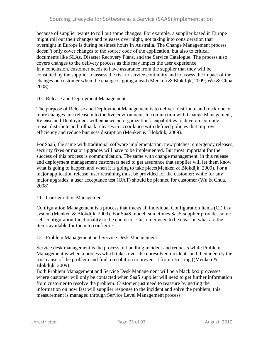because of supplier wants to roll out some changes. For example, a supplier based in Europe might roll out their changes and releases over night, not taking into consideration that overnight in Europe is during business hours in Australia. The Change Management process doesn"t only cover changes to the source code of the application, but also to critical documents like SLAs, Disaster Recovery Plans, and the Service Catalogue. The process also covers changes to the delivery process as this may impact the user experience. In a conclusion, customer needs to have assurance from the supplier that they will be consulted by the supplier to assess the risk to service continuity and to assess the impact of the changes on customer when the change is going ahead (Menken & Blokdijk, 2009; Wu & Chua, 2008).

### 10. Release and Deployment Management

The purpose of Release and Deployment Management is to deliver, distribute and track one or more changes in a release into the live environment. In conjunction with Change Management, Release and Deployment will enhance an organization's capabilities to develop, compile, reuse, distribute and rollback releases in accordance with defined policies that improve efficiency and reduce business disruption (Menken & Blokdijk, 2009).

For SaaS, the same with traditional software implementation, new patches, emergency releases, security fixes or major upgrades will have to be implemented. But most important for the success of this process is communication. The same with change management, in this release and deployment management customers need to get assurance that supplier will let them know what is going to happen and when it is going to take place(Menken  $&$  Blokdijk, 2009). For a major application release, user retraining must be provided for the customer; while for any major upgrades, a user acceptance test (UAT) should be planned for customer (Wu & Chua, 2008).

### 11. Configuration Management

Configuration Management is a process that tracks all individual Configuration Items (CI) in a system (Menken & Blokdijk, 2009). For SaaS model, sometimes SaaS supplier provides some self-configuration functionality to the end user. Customer need to be clear on what are the items available for them to configure.

### 12. Problem Management and Service Desk Management

Service desk management is the process of handling incident and requests while Problem Management is when a process which takes over the unresolved incidents and then identify the root cause of the problem and find a resolution to prevent it from recurring ((Menken & Blokdijk, 2009).

Both Problem Management and Service Desk Management will be a black box processes where customer will only be contacted when SaaS supplier will need to get further information from customer to resolve the problem. Customer just need to reassure by getting the information on how fast will supplier response to the incident and solve the problem, this measurement is managed through Service Level Management process.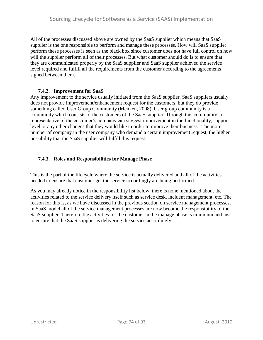All of the processes discussed above are owned by the SaaS supplier which means that SaaS supplier is the one responsible to perform and manage these processes. How will SaaS supplier perform these processes is seen as the black box since customer does not have full control on how will the supplier perform all of their processes. But what customer should do is to ensure that they are communicated properly by the SaaS supplier and SaaS supplier achieved the service level required and fulfill all the requirements from the customer according to the agreements signed between them.

### **7.4.2. Improvement for SaaS**

Any improvement to the service usually initiated from the SaaS supplier. SaaS suppliers usually does not provide improvement/enhancement request for the customers, but they do provide something called User Group Community (Menken, 2008). User group community is a community which consists of the customers of the SaaS supplier. Through this community, a representative of the customer's company can suggest improvement in the functionality, support level or any other changes that they would like in order to improve their business. The more number of company in the user company who demand a certain improvement request, the higher possibility that the SaaS supplier will fulfill this request.

### **7.4.3. Roles and Responsibilities for Manage Phase**

This is the part of the lifecycle where the service is actually delivered and all of the activities needed to ensure that customer get the service accordingly are being performed.

As you may already notice in the responsibility list below, there is none mentioned about the activities related to the service delivery itself such as service desk, incident management, etc. The reason for this is, as we have discussed in the previous section on service management processes, in SaaS model all of the service management processes are now become the responsibility of the SaaS supplier. Therefore the activities for the customer in the manage phase is minimum and just to ensure that the SaaS supplier is delivering the service accordingly.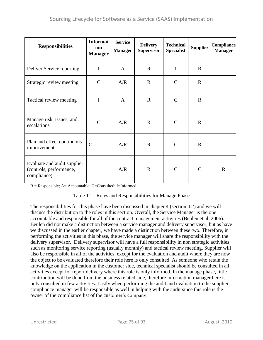| <b>Responsibilities</b>                                               | <b>Informat</b><br>ion<br><b>Manager</b> | <b>Service</b><br><b>Manager</b> | <b>Delivery</b><br><b>Supervisor</b> | <b>Technical</b><br><b>Specialist</b> | <b>Supplier</b> | Compliance<br><b>Manager</b> |
|-----------------------------------------------------------------------|------------------------------------------|----------------------------------|--------------------------------------|---------------------------------------|-----------------|------------------------------|
| Deliver Service reporting                                             | $\mathbf I$                              | $\mathbf{A}$                     | $\mathbf{R}$                         | $\mathbf I$                           | $\mathbf{R}$    |                              |
| Strategic review meeting                                              | $\mathsf{C}$                             | A/R                              | $\mathbf{R}$                         | $\mathsf{C}$                          | $\mathbf{R}$    |                              |
| Tactical review meeting                                               | I                                        | $\mathbf{A}$                     | $\mathbf R$                          | $\mathsf{C}$                          | $\mathbb{R}$    |                              |
| Manage risk, issues, and<br>escalations                               | $\mathcal{C}$                            | A/R                              | $\mathbf R$                          | $\mathsf{C}$                          | $\mathbf R$     |                              |
| Plan and effect continuous<br>improvement                             | $\overline{C}$                           | A/R                              | $\mathbf{R}$                         | $\mathbf C$                           | $\mathbf{R}$    |                              |
| Evaluate and audit supplier<br>(controls, performance,<br>compliance) |                                          | A/R                              | $\mathbf R$                          | $\mathsf{C}$                          | $\mathcal{C}$   | $\mathbb{R}$                 |

 $R =$  Responsible;  $A =$  Accountable; C=Consulted; I=Informed

### Table 11 – Roles and Responsibilities for Manage Phase

The responsibilities for this phase have been discussed in chapter 4 (section 4.2) and we will discuss the distribution to the roles in this section. Overall, the Service Manager is the one accountable and responsible for all of the contract management activities (Beulen et al, 2006). Beulen did not make a distinction between a service manager and delivery supervisor, but as have we discussed in the earlier chapter, we have made a distinction between these two. Therefore, in performing the activities in this phase, the service manager will share the responsibility with the delivery supervisor. Delivery supervisor will have a full responsibility in non strategic activities such as monitoring service reporting (usually monthly) and tactical review meeting. Supplier will also be responsible in all of the activities, except for the evaluation and audit where they are now the object to be evaluated therefore their role here is only consulted. As someone who retain the knowledge on the application in the customer side, technical specialist should be consulted in all activities except for report delivery where this role is only informed. In the manage phase, little contribution will be done from the business related side, therefore information manager here is only consulted in few activities. Lastly when performing the audit and evaluation to the supplier, compliance manager will be responsible as well in helping with the audit since this role is the owner of the compliance list of the customer's company.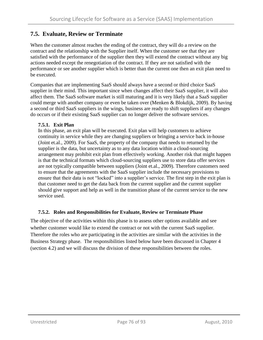### **7.5. Evaluate, Review or Terminate**

When the customer almost reaches the ending of the contract, they will do a review on the contract and the relationship with the Supplier itself. When the customer see that they are satisfied with the performance of the supplier then they will extend the contract without any big actions needed except the renegotiation of the contract. If they are not satisfied with the performance or see another supplier which is better than the current one then an exit plan need to be executed.

Companies that are implementing SaaS should always have a second or third choice SaaS supplier in their mind. This important since when changes affect their SaaS supplier, it will also affect them. The SaaS software market is still maturing and it is very likely that a SaaS supplier could merge with another company or even be taken over (Menken & Blokdijk, 2009). By having a second or third SaaS suppliers in the wings, business are ready to shift suppliers if any changes do occurs or if their existing SaaS supplier can no longer deliver the software services.

### **7.5.1. Exit Plan**

In this phase, an exit plan will be executed. Exit plan will help customers to achieve continuity in service while they are changing suppliers or bringing a service back in-house (Joint et.al., 2009). For SaaS, the property of the company that needs to returned by the supplier is the data, but uncertainty as to any data location within a cloud-sourcing arrangement may prohibit exit plan from effectively working. Another risk that might happen is that the technical formats which cloud-sourcing suppliers use to store data offer services are not typically compatible between suppliers (Joint et.al., 2009). Therefore customers need to ensure that the agreements with the SaaS supplier include the necessary provisions to ensure that their data is not "locked" into a supplier's service. The first step in the exit plan is that customer need to get the data back from the current supplier and the current supplier should give support and help as well in the transition phase of the current service to the new service used.

### **7.5.2. Roles and Responsibilities for Evaluate, Review or Terminate Phase**

The objective of the activities within this phase is to assess other options available and see whether customer would like to extend the contract or not with the current SaaS supplier. Therefore the roles who are participating in the activities are similar with the activities in the Business Strategy phase. The responsibilities listed below have been discussed in Chapter 4 (section 4.2) and we will discuss the division of these responsibilities between the roles.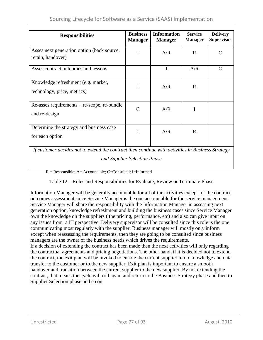| <b>Responsibilities</b>                                                                                                           | <b>Business</b><br><b>Manager</b> | <b>Information</b><br><b>Manager</b> | <b>Service</b><br><b>Manager</b> | <b>Delivery</b><br><b>Supervisor</b> |  |  |  |
|-----------------------------------------------------------------------------------------------------------------------------------|-----------------------------------|--------------------------------------|----------------------------------|--------------------------------------|--|--|--|
| Asses next generation option (back source,<br>retain, handover)                                                                   |                                   | A/R                                  | $\mathbf R$                      | $\mathcal{C}$                        |  |  |  |
| Asses contract outcomes and lessons                                                                                               |                                   | $\mathbf I$                          | A/R                              | $\mathcal{C}$                        |  |  |  |
| Knowledge refreshment (e.g. market,<br>technology, price, metrics)                                                                | I                                 | A/R                                  | $\mathbf R$                      |                                      |  |  |  |
| $Re$ -asses requirements – re-scope, re-bundle<br>and re-design                                                                   | $\subset$                         | A/R                                  |                                  |                                      |  |  |  |
| Determine the strategy and business case<br>for each option                                                                       | I                                 | A/R                                  | R                                |                                      |  |  |  |
| If customer decides not to extend the contract then continue with activities in Business Strategy<br>and Supplier Selection Phase |                                   |                                      |                                  |                                      |  |  |  |

 $R =$  Responsible;  $A =$  Accountable; C=Consulted; I=Informed

Table 12 – Roles and Responsibilities for Evaluate, Review or Terminate Phase

Information Manager will be generally accountable for all of the activities except for the contract outcomes assessment since Service Manager is the one accountable for the service management. Service Manager will share the responsibility with the Information Manager in assessing next generation option, knowledge refreshment and building the business cases since Service Manager own the knowledge on the suppliers ( the pricing, performance, etc) and also can give input on any issues from a IT perspective. Delivery supervisor will be consulted since this role is the one communicating most regularly with the supplier. Business manager will mostly only inform except when reassessing the requirements, then they are going to be consulted since business managers are the owner of the business needs which drives the requirements.

If a decision of extending the contract has been made then the next activities will only regarding the contractual agreements and pricing negotiations. The other hand, if it is decided not to extend the contract, the exit plan will be invoked to enable the current supplier to do knowledge and data transfer to the customer or to the new supplier. Exit plan is important to ensure a smooth handover and transition between the current supplier to the new supplier. By not extending the contract, that means the cycle will roll again and return to the Business Strategy phase and then to Supplier Selection phase and so on.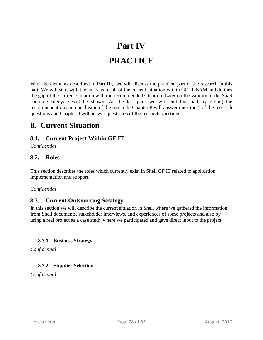# **Part IV**

# **PRACTICE**

With the elements described in Part III, we will discuss the practical part of the research in this part. We will start with the analysis result of the current situation within GF IT BAM and defines the gap of the current situation with the recommended situation. Later on the validity of the SaaS sourcing lifecycle will be shown. As the last part, we will end this part by giving the recommendation and conclusion of the research. Chapter 8 will answer question 5 of the research questions and Chapter 9 will answer question 6 of the research questions.

## **8. Current Situation**

### **8.1. Current Project Within GF IT**

*Confidential*

### **8.2. Roles**

This section describes the roles which currently exist in Shell GF IT related to application implementation and support.

*Confidential*

### **8.3. Current Outsourcing Strategy**

In this section we will describe the current situation in Shell where we gathered the information from Shell documents, stakeholder interviews, and experiences of some projects and also by using a real project as a case study where we participated and gave direct input to the project.

### **8.3.1. Business Strategy**

*Confidential*

### **8.3.2. Supplier Selection**

*Confidential*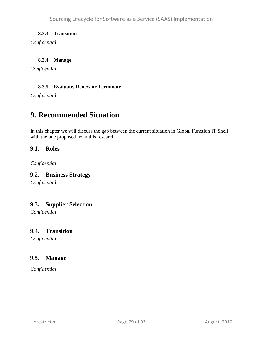### **8.3.3. Transition**

*Confidential*

### **8.3.4. Manage**

*Confidential*

### **8.3.5. Evaluate, Renew or Terminate**

*Confidential*

### **9. Recommended Situation**

In this chapter we will discuss the gap between the current situation in Global Function IT Shell with the one proposed from this research.

### **9.1. Roles**

*Confidential*

### **9.2. Business Strategy**

*Confidential*.

### **9.3. Supplier Selection**

*Confidential*

### **9.4. Transition**

*Confidential*

### **9.5. Manage**

*Confidential*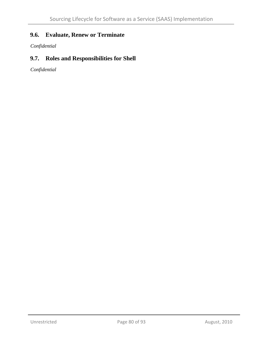### **9.6. Evaluate, Renew or Terminate**

*Confidential*

### **9.7. Roles and Responsibilities for Shell**

*Confidential*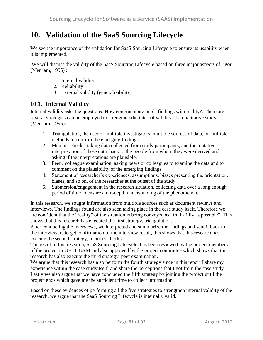## **10. Validation of the SaaS Sourcing Lifecycle**

We see the importance of the validation for SaaS Sourcing Lifecycle to ensure its usability when it is implemented.

We will discuss the validity of the SaaS Sourcing Lifecycle based on three major aspects of rigor (Merriam, 1995) :

- 1. Internal validity
- 2. Reliability
- 3. External validity (generalizibility)

### **10.1. Internal Validity**

Internal validity asks the questions: How congruent are one's findings with reality?. There are several strategies can be employed to strengthen the internal validity of a qualitative study (Merriam, 1995):

- 1. Triangulation, the user of multiple investigators, multiple sources of data, or multiple methods to confirm the emerging findings
- 2. Member checks, taking data collected from study participants, and the tentative interpretation of these data, back to the people from whom they were derived and asking if the interpretations are plausible.
- 3. Peer / colleague examination, asking peers or colleagues to examine the data and to comment on the plausibility of the emerging findings
- 4. Statement of researcher's experiences, assumptions, biases presenting the orientation, biases, and so on, of the researcher at the outset of the study
- 5. Submersion/engagement in the research situation, collecting data over a long enough period of time to ensure an in-depth understanding of the phenomenon.

In this research, we sought information from multiple sources such as document reviews and interviews. The findings found are also seen taking place in the case study itself. Therefore we are confident that the "reality" of the situation is being conveyed as "truth-fully as possible". This shows that this research has executed the first strategy, triangulation.

After conducting the interviews, we interpreted and summarize the findings and sent it back to the interviewers to get confirmation of the interview result, this shows that this research has execute the second strategy, member checks.

The result of this research, SaaS Sourcing Lifecycle, has been reviewed by the project members of the project in GF IT BAM and also approved by the project committee which shows that this research has also execute the third strategy, peer examination.

We argue that this research has also perform the fourth strategy since in this report I share my experience within the case studyitself, and share the perceptions that I got from the case study. Lastly we also argue that we have concluded the fifth strategy by joining the project until the project ends which gave me the sufficient time to collect information.

Based on these evidences of performing all the five strategies to strengthen internal validity of the research, we argue that the SaaS Sourcing Lifecycle is internally valid.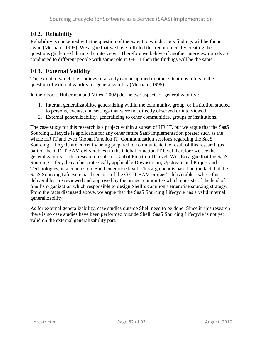### **10.2. Reliability**

Reliability is concerned with the question of the extent to which one's findings will be found again (Merriam, 1995). We argue that we have fulfilled this requirement by creating the questions guide used during the interviews. Therefore we believe if another interview rounds are conducted to different people with same role in GF IT then the findings will be the same.

### **10.3. External Validity**

The extent to which the findings of a study can be applied to other situations refers to the question of external validity, or generalizability (Merriam, 1995).

In their book, Huberman and Miles (2002) define two aspects of generalizability :

- 1. Internal generalizability, generalizing within the community, group, or institution studied to persons, events, and settings that were not directly observed or interviewed.
- 2. External generalizability, generalizing to other communities, groups or institutions.

The case study for this research is a project within a subset of HR IT, but we argue that the SaaS Sourcing Lifecycle is applicable for any other future SaaS implementation greater such as the whole HR IT and even Global Function IT. Communication sessions regarding the SaaS Sourcing Lifecycle are currently being prepared to communicate the result of this research (as part of the GF IT BAM deliverables) to the Global Function IT level therefore we see the generalizability of this research result for Global Function IT level. We also argue that the SaaS Sourcing Lifecycle can be strategically applicable Downstream, Upstream and Project and Technologies, in a conclusion, Shell enterprise level. This argument is based on the fact that the SaaS Sourcing Lifecycle has been part of the GF IT BAM project's deliverables, where this deliverables are reviewed and approved by the project committee which consists of the lead of Shell's organization which responsible to design Shell's common / enterprise sourcing strategy. From the facts discussed above, we argue that the SaaS Sourcing Lifecycle has a valid internal generalizability.

As for external generalizability, case studies outside Shell need to be done. Since in this research there is no case studies have been performed outside Shell, SaaS Sourcing Lifecycle is not yet valid on the external generalizability part.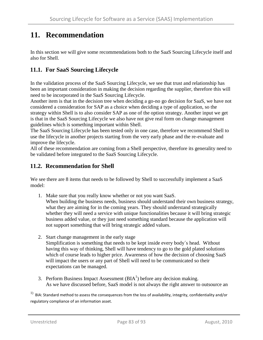## **11. Recommendation**

In this section we will give some recommendations both to the SaaS Sourcing Lifecycle itself and also for Shell.

### **11.1. For SaaS Sourcing Lifecycle**

In the validation process of the SaaS Sourcing Lifecycle, we see that trust and relationship has been an important consideration in making the decision regarding the supplier, therefore this will need to be incorporated in the SaaS Sourcing Lifecycle.

Another item is that in the decision tree when deciding a go-no go decision for SaaS, we have not considered a consideration for SAP as a choice when deciding a type of application, so the strategy within Shell is to also consider SAP as one of the option strategy. Another input we get is that in the SaaS Sourcing Lifecycle we also have not give real form on change management guidelines which is something important within Shell.

The SaaS Sourcing Lifecycle has been tested only in one case, therefore we recommend Shell to use the lifecycle in another projects starting from the very early phase and the re-evaluate and improve the lifecycle.

All of these recommendation are coming from a Shell perspective, therefore its generality need to be validated before integrated to the SaaS Sourcing Lifecycle.

### **11.2. Recommendation for Shell**

We see there are 8 items that needs to be followed by Shell to successfully implement a SaaS model:

- 1. Make sure that you really know whether or not you want SaaS.
	- When building the business needs, business should understand their own business strategy, what they are aiming for in the coming years. They should understand strategically whether they will need a service with unique functionalities because it will bring strategic business added value, or they just need something standard because the application will not support something that will bring strategic added values.
- 2. Start change management in the early stage Simplification is something that needs to be kept inside every body´s head. Without having this way of thinking, Shell will have tendency to go to the gold plated solutions which of course leads to higher price. Awareness of how the decision of choosing SaaS will impact the users or any part of Shell will need to be communicated so their expectations can be managed.
- 3. Perform Business Impact Assessment  $(BIA<sup>1</sup>)$  before any decision making. As we have discussed before, SaaS model is not always the right answer to outsource an

<sup>1)</sup> BIA: Standard method to assess the consequences from the loss of availability, integrity, confidentiality and/or regulatory compliance of an information asset.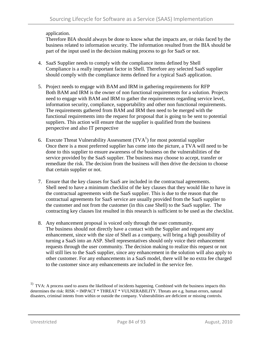### application.

Therefore BIA should always be done to know what the impacts are, or risks faced by the business related to information security. The information resulted from the BIA should be part of the input used in the decision making process to go for SaaS or not.

- 4. SaaS Supplier needs to comply with the compliance items defined by Shell Compliance is a really important factor in Shell. Therefore any selected SaaS supplier should comply with the compliance items defined for a typical SaaS application.
- 5. Project needs to engage with BAM and IRM in gathering requirements for RFP Both BAM and IRM is the owner of non functional requirements for a solution. Projects need to engage with BAM and IRM to gather the requirements regarding service level, information security, compliance, supportability and other non functional requirements. The requirements gathered from BAM and IRM then need to be merged with the functional requirements into the request for proposal that is going to be sent to potential suppliers. This action will ensure that the supplier is qualified from the business perspective and also IT perspective
- 6. Execute Threat Vulnerability Assessment  $(TVA<sup>1</sup>)$  for most potential supplier Once there is a most preferred supplier has come into the picture, a TVA will need to be done to this supplier to ensure awareness of the business on the vulnerabilities of the service provided by the SaaS supplier. The business may choose to accept, transfer or remediate the risk. The decision from the business will then drive the decision to choose that certain supplier or not.
- 7. Ensure that the key clauses for SaaS are included in the contractual agreements. Shell need to have a minimum checklist of the key clauses that they would like to have in the contractual agreements with the SaaS supplier. This is due to the reason that the contractual agreements for SaaS service are usually provided from the SaaS supplier to the customer and not from the customer (in this case Shell) to the SaaS supplier. The contracting key clauses list resulted in this research is sufficient to be used as the checklist.
- 8. Any enhancement proposal is voiced only through the user community. The business should not directly have a contact with the Supplier and request any enhancement, since with the size of Shell as a company, will bring a high possibility of turning a SaaS into an ASP. Shell representatives should only voice their enhancement requests through the user community. The decision making to realize this request or not will still lies to the SaaS supplier, since any enhancement in the solution will also apply to other customer. For any enhancements in a SaaS model, there will be no extra fee charged to the customer since any enhancements are included in the service fee.

 $1)$  TVA: A process used to assess the likelihood of incidents happening. Combined with the business impacts this determines the risk: RISK = IMPACT \* THREAT \* VULNERABILITY. Threats are e.g. human errors, natural disasters, criminal intents from within or outside the company. Vulnerabilities are deficient or missing controls.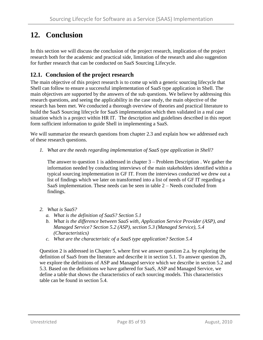# **12. Conclusion**

In this section we will discuss the conclusion of the project research, implication of the project research both for the academic and practical side, limitation of the research and also suggestion for further research that can be conducted on SaaS Sourcing Lifecycle.

### **12.1. Conclusion of the project research**

The main objective of this project research is to come up with a generic sourcing lifecycle that Shell can follow to ensure a successful implementation of SaaS type application in Shell. The main objectives are supported by the answers of the sub questions. We believe by addressing this research questions, and seeing the applicability in the case study, the main objective of the research has been met. We conducted a thorough overview of theories and practical literature to build the SaaS Sourcing lifecycle for SaaS implementation which then validated in a real case situation which is a project within HR IT. The description and guidelines described in this report form sufficient information to guide Shell in implementing a SaaS.

We will summarize the research questions from chapter 2.3 and explain how we addressed each of these research questions.

*1. What are the needs regarding implementation of SaaS type application in Shell?*

The answer to question 1 is addressed in chapter  $3$  – Problem Description. We gather the information needed by conducting interviews of the main stakeholders identified within a typical sourcing implementation in GF IT. From the interviews conducted we drew out a list of findings which we later on transformed into a list of needs of GF IT regarding a SaaS implementation. These needs can be seen in table 2 – Needs concluded from findings.

- *2. What is SaaS?*
	- *a. What is the definition of SaaS? Section 5.1*
	- *b. What is the difference between SaaS with, Application Service Provider (ASP), and Managed Service? Section 5.2 (ASP), section 5.3 (Managed Service), 5.4 (Characteristics)*
	- *c. What are the characteristic of a SaaS type application? Section 5.4*

Question 2 is addressed in Chapter 5, where first we answer question 2.a. by exploring the definition of SaaS from the literature and describe it in section 5.1. To answer question 2b, we explore the definitions of ASP and Managed service which we describe in section 5.2 and 5.3. Based on the definitions we have gathered for SaaS, ASP and Managed Service, we define a table that shows the characteristics of each sourcing models. This characteristics table can be found in section 5.4.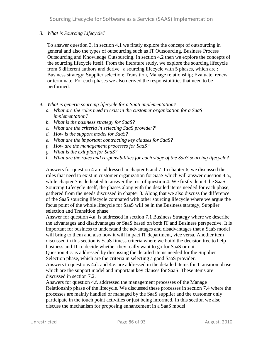### *3. What is Sourcing Lifecycle?*

To answer question 3, in section 4.1 we firstly explore the concept of outsourcing in general and also the types of outsourcing such as IT Outsourcing, Business Process Outsourcing and Knowledge Outsourcing. In section 4.2 then we explore the concepts of the sourcing lifecycle itself. From the literature study, we explore the sourcing lifecycle from 5 different authors and derive a sourcing lifecycle with 5 phases, which are : Business strategy; Supplier selection; Transition, Manage relationship; Evaluate, renew or terminate. For each phases we also derived the responsibilities that need to be performed.

- *4. What is generic sourcing lifecycle for a SaaS implementation?*
	- *a. What are the roles need to exist in the customer organization for a SaaS implementation?*
	- *b. What is the business strategy for SaaS?*
	- *c. What are the criteria in selecting SaaS provider?\*
	- *d. How is the support model for SaaS?*
	- *e. What are the important contracting key clauses for SaaS?*
	- *f. How are the management processes for SaaS?*
	- *g. What is the exit plan for SaaS?*
	- *h. What are the roles and responsibilities for each stage of the SaaS sourcing lifecycle?*

Answers for question 4 are addressed in chapter 6 and 7. In chapter 6, we discussed the roles that need to exist in customer organization for SaaS which will answer question 4.a., while chapter 7 is dedicated to answer the rest of question 4. We firstly depict the SaaS Sourcing Lifecycle itself, the phases along with the detailed items needed for each phase, gathered from the needs discussed in chapter 3. Along that we also discuss the difference of the SaaS sourcing lifecycle compared with other sourcing lifecycle where we argue the focus point of the whole lifecycle for SaaS will be in the Business strategy, Supplier selection and Transition phase.

Answer for question 4.a. is addressed in section 7.1 Business Strategy where we describe the advantages and disadvantages or SaaS based on both IT and Business perspective. It is important for business to understand the advantages and disadvantages that a SaaS model will bring to them and also how it will impact IT department, vice versa. Another item discussed in this section is SaaS fitness criteria where we build the decision tree to help business and IT to decide whether they really want to go for SaaS or not.

Question 4.c. is addressed by discussing the detailed items needed for the Supplier Selection phase, which are the criteria in selecting a good SaaS provider.

Answers to questions 4.d. and 4.e. are addressed in the detailed items for Transition phase which are the support model and important key clauses for SaaS. These items are discussed in section 7.2.

Answers for question 4.f. addressed the management processes of the Manage Relationship phase of the lifecycle. We discussed these processes in section 7.4 where the processes are mainly handled or managed by the SaaS supplier and the customer only participate in the touch point activities or just being informed. In this section we also discuss the mechanism for proposing enhancement in a SaaS model.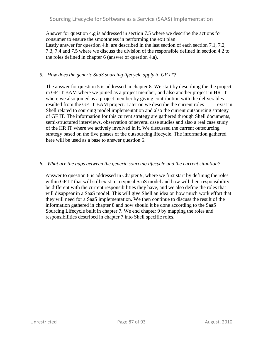Answer for question 4.g is addressed in section 7.5 where we describe the actions for consumer to ensure the smoothness in performing the exit plan. Lastly answer for question 4.h. are described in the last section of each section 7.1, 7.2, 7.3, 7.4 and 7.5 where we discuss the division of the responsible defined in section 4.2 to the roles defined in chapter 6 (answer of question 4.a).

### *5. How does the generic SaaS sourcing lifecycle apply to GF IT?*

The answer for question 5 is addressed in chapter 8. We start by describing the the project in GF IT BAM where we joined as a project member, and also another project in HR IT where we also joined as a project member by giving contribution with the deliverables resulted from the GF IT BAM project. Later on we describe the current roles exist in Shell related to sourcing model implementation and also the current outsourcing strategy of GF IT. The information for this current strategy are gathered through Shell documents, semi-structured interviews, observation of several case studies and also a real case study of the HR IT where we actively involved in it. We discussed the current outsourcing strategy based on the five phases of the outsourcing lifecycle. The information gathered here will be used as a base to answer question 6.

#### *6. What are the gaps between the generic sourcing lifecycle and the current situation?*

Answer to question 6 is addressed in Chapter 9, where we first start by defining the roles within GF IT that will still exist in a typical SaaS model and how will their responsibility be different with the current responsibilities they have, and we also define the roles that will disappear in a SaaS model. This will give Shell an idea on how much work effort that they will need for a SaaS implementation. We then continue to discuss the result of the information gathered in chapter 8 and how should it be done according to the SaaS Sourcing Lifecycle built in chapter 7. We end chapter 9 by mapping the roles and responsibilities described in chapter 7 into Shell specific roles.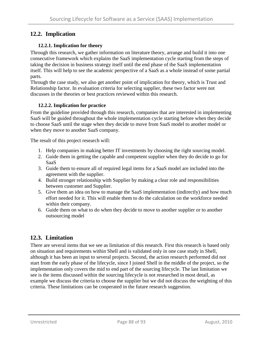### **12.2. Implication**

### **12.2.1. Implication for theory**

Through this research, we gather information on literature theory, arrange and build it into one consecutive framework which explains the SaaS implementation cycle starting from the steps of taking the decision in business strategy itself until the end phase of the SaaS implementation itself. This will help to see the academic perspective of a SaaS as a whole instead of some partial parts.

Through the case study, we also get another point of implication for theory, which is Trust and Relationship factor. In evaluation criteria for selecting supplier, these two factor were not discusses in the theories or best practices reviewed within this research.

### **12.2.2. Implication for practice**

From the guideline provided through this research, companies that are interested in implementing SaaS will be guided throughout the whole implementation cycle starting before when they decide to choose SaaS until the stage when they decide to move from SaaS model to another model or when they move to another SaaS company.

The result of this project research will:

- 1. Help companies in making better IT investments by choosing the right sourcing model.
- 2. Guide them in getting the capable and competent supplier when they do decide to go for SaaS
- 3. Guide them to ensure all of required legal items for a SaaS model are included into the agreement with the supplier.
- 4. Build stronger relationship with Supplier by making a clear role and responsibilities between customer and Supplier.
- 5. Give them an idea on how to manage the SaaS implementation (indirectly) and how much effort needed for it. This will enable them to do the calculation on the workforce needed within their company.
- 6. Guide them on what to do when they decide to move to another supplier or to another outsourcing model

### **12.3. Limitation**

There are several items that we see as limitation of this research. First this research is based only on situation and requirements within Shell and is validated only in one case study in Shell, although it has been an input to several projects. Second, the action research performed did not start from the early phase of the lifecycle, since I joined Shell in the middle of the project, so the implementation only covers the mid to end part of the sourcing lifecycle. The last limitation we see is the items discussed within the sourcing lifecycle is not researched in most detail, as example we discuss the criteria to choose the supplier but we did not discuss the weighting of this criteria. These limitations can be cooperated in the future research suggestion.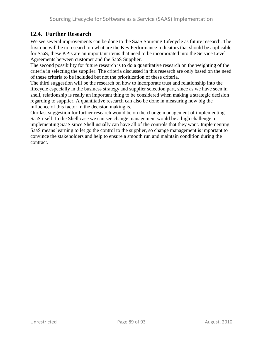### **12.4. Further Research**

We see several improvements can be done to the SaaS Sourcing Lifecycle as future research. The first one will be to research on what are the Key Performance Indicators that should be applicable for SaaS, these KPIs are an important items that need to be incorporated into the Service Level Agreements between customer and the SaaS Supplier.

The second possibility for future research is to do a quantitative research on the weighting of the criteria in selecting the supplier. The criteria discussed in this research are only based on the need of these criteria to be included but not the prioritization of these criteria.

The third suggestion will be the research on how to incorporate trust and relationship into the lifecycle especially in the business strategy and supplier selection part, since as we have seen in shell, relationship is really an important thing to be considered when making a strategic decision regarding to supplier. A quantitative research can also be done in measuring how big the influence of this factor in the decision making is.

Our last suggestion for further research would be on the change management of implementing SaaS itself. In the Shell case we can see change management would be a high challenge in implementing SaaS since Shell usually can have all of the controls that they want. Implementing SaaS means learning to let go the control to the supplier, so change management is important to convince the stakeholders and help to ensure a smooth run and maintain condition during the contract.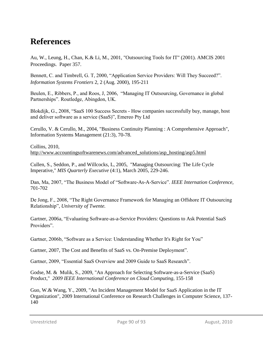# **References**

Au, W., Leung, H., Chan, K.& Li, M., 2001, "Outsourcing Tools for IT" (2001). AMCIS 2001 Proceedings. Paper 357.

Bennett, C. and Timbrell, G. T, 2000, "Application Service Providers: Will They Succeed?". *Information Systems Frontiers* 2, 2 (Aug. 2000), 195-211

Beulen, E., Ribbers, P., and Roos, J. 2006, "Managing IT Outsourcing, Governance in global Partnerships". Routledge, Abingdon, UK.

Blokdijk, G., 2008, "SaaS 100 Success Secrets - How companies successfully buy, manage, host and deliver software as a service (SaaS)", Emereo Pty Ltd

Cerullo, V. & Cerullo, M., 2004, "Business Continuity Planning : A Comprehensive Approach", Information Systems Management (21:3), 70-78.

Collins, 2010, [http://www.accountingsoftwarenews.com/advanced\\_solutions/asp\\_hosting/asp5.html](http://www.accountingsoftwarenews.com/advanced_solutions/asp_hosting/asp5.html)

Cullen, S., Seddon, P., and Willcocks, L, 2005, "Managing Outsourcing: The Life Cycle Imperative," *MIS Quarterly Executive* (4:1), March 2005, 229-246.

Dan, Ma, 2007, "The Business Model of "Software-As-A-Service". *IEEE Internation Conference*, 701-702

De Jong, F., 2008, "The Right Governance Framework for Managing an Offshore IT Outsourcing Relationship", *University of Twente*.

Gartner, 2006a, "Evaluating Software-as-a-Service Providers: Questions to Ask Potential SaaS Providers".

Gartner, 2006b, "Software as a Service: Understanding Whether It's Right for You"

Gartner, 2007, The Cost and Benefits of SaaS vs. On-Premise Deployment".

Gartner, 2009, "Essential SaaS Overview and 2009 Guide to SaaS Research".

Godse, M. & Mulik, S., 2009, "An Approach for Selecting Software-as-a-Service (SaaS) Product," *2009 IEEE International Conference on Cloud Computing*, 155-158

Guo, W.& Wang, Y., 2009, "An Incident Management Model for SaaS Application in the IT Organization", 2009 International Conference on Research Challenges in Computer Science, 137- 140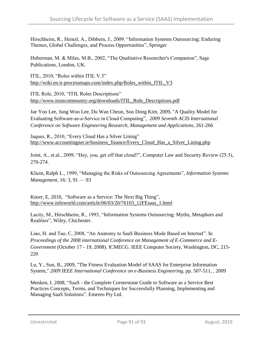Hirschheim, R., Heinzl, A., Dibbern, J., 2009. "Information Systems Outsourcing: Enduring Themes, Global Challenges, and Process Opportunities", Springer

Huberman, M. & Miles, M.B., 2002, "The Qualitative Researcher's Companion", Sage Publications, London, UK.

ITIL, 2010, "Roles within ITIL V.3" [http://wiki.en.it-processmaps.com/index.php/Roles\\_within\\_ITIL\\_V3](http://wiki.en.it-processmaps.com/index.php/Roles_within_ITIL_V3)

ITIL Role, 2010, "ITIL Roles Descriptions" [http://www.itsmcommunity.org/downloads/ITIL\\_Role\\_Descriptions.pdf](http://www.itsmcommunity.org/downloads/ITIL_Role_Descriptions.pdf)

Jae Yoo Lee, Jung Woo Lee, Du Wan Cheun, Soo Dong Kim, 2009, "A Quality Model for Evaluating Software-as-a-Service in Cloud Computing", 2009 Seventh ACIS International *Conference on Software Engineering Research, Management and Applications,* 261-266

Jaques, R., 2010, "Every Cloud Has a Silver Lining" [http://www.accountingnet.ie/business\\_finance/Every\\_Cloud\\_Has\\_a\\_Silver\\_Lining.php](http://www.accountingnet.ie/business_finance/Every_Cloud_Has_a_Silver_Lining.php)

Joint, A., et.al., 2009, "Hey, you, get off that cloud?", Computer Law and Security Review (25:3), 270-274.

Kliem, Ralph L., 1999, "Managing the Risks of Outsourcing Agreements", *Information Systems Management*, 16: 3, 91 — 93

Knorr, E, 2010, "Software as a Service: The Next Big Thing", [http://www.infoworld.com/article/06/03/20/76103\\_12FEsaas\\_1.html](http://www.infoworld.com/article/06/03/20/76103_12FEsaas_1.html)

Lacity, M., Hirschheim, R., 1993, "Information Systems Outsourcing: Myths, Metaphors and Realities", Wiley, Chichester.

Liao, H. and Tao, C, 2008, "An Anatomy to SaaS Business Mode Based on Internet". In *Proceedings of the 2008 international Conference on Management of E-Commerce and E-Government* (October 17 - 19, 2008). ICMECG. IEEE Computer Society, Washington, DC, 215- 220

Lu, Y., Sun, B., 2009, "The Fitness Evaluation Model of SAAS for Enterprise Information System," *2009 IEEE International Conference on e-Business Engineering*, pp. 507-511, , 2009

Menken, I. 2008, "SaaS - the Complete Cornerstone Guide to Software as a Service Best Practices Concepts, Terms, and Techniques for Successfully Planning, Implementing and Managing SaaS Solutions". Emereo Pty Ltd.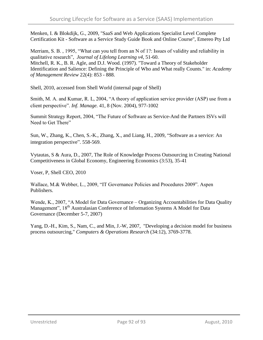Menken, I. & Blokdijk, G., 2009, "SaaS and Web Applications Specialist Level Complete Certification Kit - Software as a Service Study Guide Book and Online Course", Emereo Pty Ltd

Merriam, S. B., 1995, "What can you tell from an N of 1?: Issues of validity and reliability in qualitative research", *Journal of Lifelong Learning v4*, 51-60. Mitchell, R. K., B. R. Agle, and D.J. Wood. (1997). "Toward a Theory of Stakeholder Identification and Salience: Defining the Principle of Who and What really Counts." in: *Academy of Management Review* 22(4): 853 - 888.

Shell, 2010, accessed from Shell World (internal page of Shell)

Smith, M. A. and Kumar, R. L, 2004, "A theory of application service provider (ASP) use from a client perspective‖. *Inf. Manage.* 41, 8 (Nov. 2004), 977-1002

Summit Strategy Report, 2004, "The Future of Software as Service-And the Partners ISVs will Need to Get There"

Sun, W., Zhang, K., Chen, S.-K., Zhang, X., and Liang, H., 2009, "Software as a service: An integration perspective". 558-569.

Vytautas, S & Aura, D., 2007, The Role of Knowledge Process Outsourcing in Creating National Competitiveness in Global Economy, Engineering Economics (3:53), 35-41

Voser, P, Shell CEO, 2010

Wallace, M.& Webber, L., 2009, "IT Governance Policies and Procedures 2009". Aspen Publishers.

Wende, K., 2007, "A Model for Data Governance – Organizing Accountabilities for Data Quality Management",  $18<sup>th</sup>$  Australasian Conference of Information Systems A Model for Data Governance (December 5-7, 2007)

Yang, D.-H., Kim, S., Nam, C., and Min, J.-W, 2007, "Developing a decision model for business process outsourcing," *Computers & Operations Research* (34:12), 3769-3778.